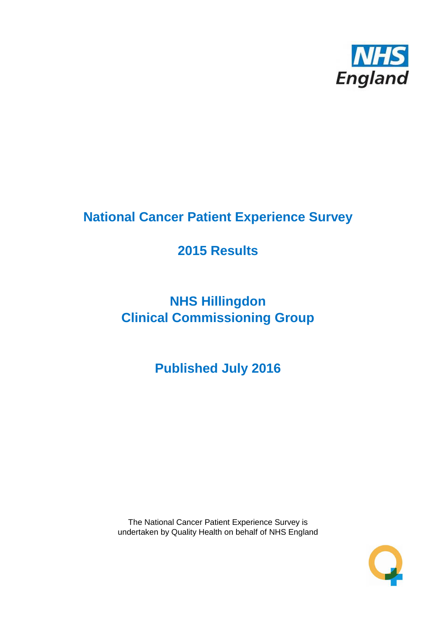

# **National Cancer Patient Experience Survey**

# **2015 Results**

# **NHS Hillingdon Clinical Commissioning Group**

# **Published July 2016**

The National Cancer Patient Experience Survey is undertaken by Quality Health on behalf of NHS England

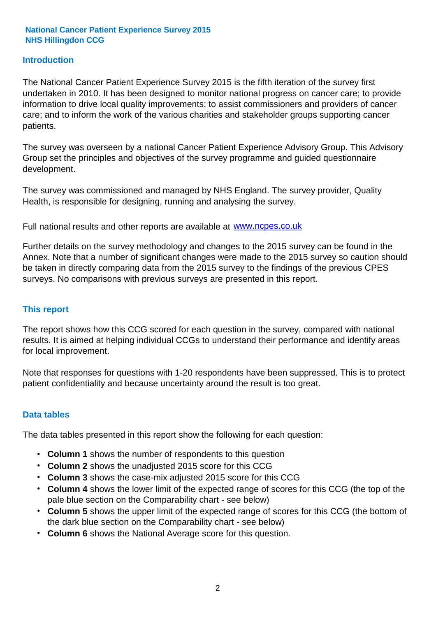#### **Introduction**

The National Cancer Patient Experience Survey 2015 is the fifth iteration of the survey first undertaken in 2010. It has been designed to monitor national progress on cancer care; to provide information to drive local quality improvements; to assist commissioners and providers of cancer care; and to inform the work of the various charities and stakeholder groups supporting cancer patients.

The survey was overseen by a national Cancer Patient Experience Advisory Group. This Advisory Group set the principles and objectives of the survey programme and guided questionnaire development.

The survey was commissioned and managed by NHS England. The survey provider, Quality Health, is responsible for designing, running and analysing the survey.

Full national results and other reports are available at www.ncpes.co.uk

Further details on the survey methodology and changes to the 2015 survey can be found in the Annex. Note that a number of significant changes were made to the 2015 survey so caution should be taken in directly comparing data from the 2015 survey to the findings of the previous CPES surveys. No comparisons with previous surveys are presented in this report.

#### **This report**

The report shows how this CCG scored for each question in the survey, compared with national results. It is aimed at helping individual CCGs to understand their performance and identify areas for local improvement.

Note that responses for questions with 1-20 respondents have been suppressed. This is to protect patient confidentiality and because uncertainty around the result is too great.

#### **Data tables**

The data tables presented in this report show the following for each question:

- **Column 1** shows the number of respondents to this question
- **Column 2** shows the unadjusted 2015 score for this CCG
- **Column 3** shows the case-mix adjusted 2015 score for this CCG
- **Column 4** shows the lower limit of the expected range of scores for this CCG (the top of the pale blue section on the Comparability chart - see below)
- **Column 5** shows the upper limit of the expected range of scores for this CCG (the bottom of the dark blue section on the Comparability chart - see below)
- **Column 6** shows the National Average score for this question.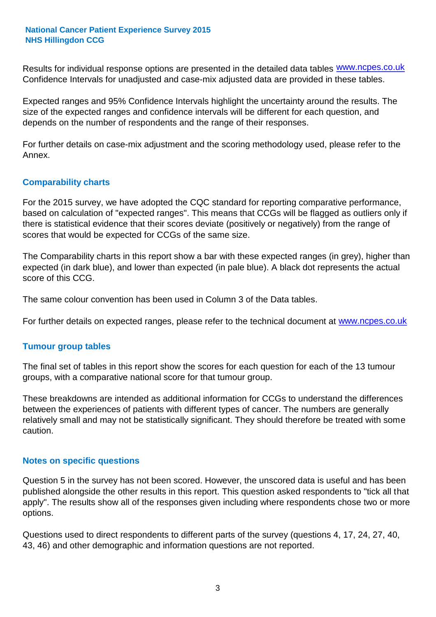Results for individual response options are presented in the detailed data tables **WWW.ncpes.co.uk** Confidence Intervals for unadjusted and case-mix adjusted data are provided in these tables.

Expected ranges and 95% Confidence Intervals highlight the uncertainty around the results. The size of the expected ranges and confidence intervals will be different for each question, and depends on the number of respondents and the range of their responses.

For further details on case-mix adjustment and the scoring methodology used, please refer to the Annex.

#### **Comparability charts**

For the 2015 survey, we have adopted the CQC standard for reporting comparative performance, based on calculation of "expected ranges". This means that CCGs will be flagged as outliers only if there is statistical evidence that their scores deviate (positively or negatively) from the range of scores that would be expected for CCGs of the same size.

The Comparability charts in this report show a bar with these expected ranges (in grey), higher than expected (in dark blue), and lower than expected (in pale blue). A black dot represents the actual score of this CCG.

The same colour convention has been used in Column 3 of the Data tables.

For further details on expected ranges, please refer to the technical document at **www.ncpes.co.uk** 

#### **Tumour group tables**

The final set of tables in this report show the scores for each question for each of the 13 tumour groups, with a comparative national score for that tumour group.

These breakdowns are intended as additional information for CCGs to understand the differences between the experiences of patients with different types of cancer. The numbers are generally relatively small and may not be statistically significant. They should therefore be treated with some caution.

#### **Notes on specific questions**

Question 5 in the survey has not been scored. However, the unscored data is useful and has been published alongside the other results in this report. This question asked respondents to "tick all that apply". The results show all of the responses given including where respondents chose two or more options.

Questions used to direct respondents to different parts of the survey (questions 4, 17, 24, 27, 40, 43, 46) and other demographic and information questions are not reported.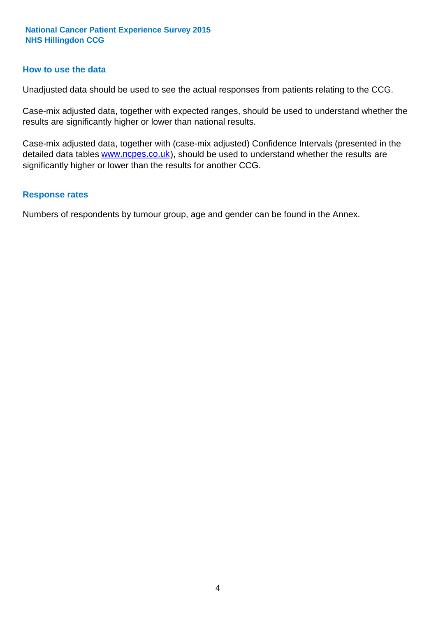#### **How to use the data**

Unadjusted data should be used to see the actual responses from patients relating to the CCG.

Case-mix adjusted data, together with expected ranges, should be used to understand whether the results are significantly higher or lower than national results.

Case-mix adjusted data, together with (case-mix adjusted) Confidence Intervals (presented in the detailed data tables **www.ncpes.co.uk**), should be used to understand whether the results are significantly higher or lower than the results for another CCG.

#### **Response rates**

Numbers of respondents by tumour group, age and gender can be found in the Annex.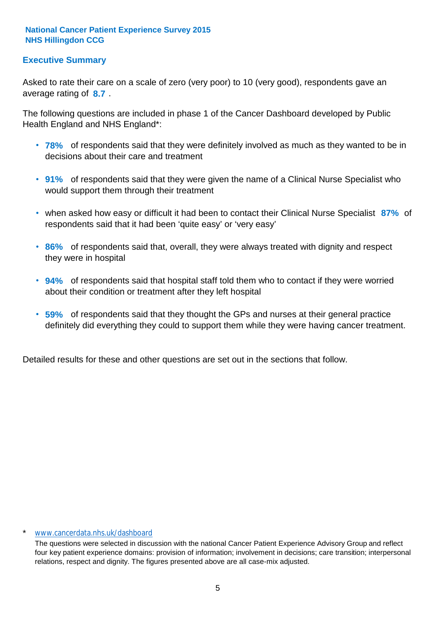## **Executive Summary**

average rating of 8.7. Asked to rate their care on a scale of zero (very poor) to 10 (very good), respondents gave an

The following questions are included in phase 1 of the Cancer Dashboard developed by Public Health England and NHS England\*:

- **78%** of respondents said that they were definitely involved as much as they wanted to be in decisions about their care and treatment
- **91%** of respondents said that they were given the name of a Clinical Nurse Specialist who would support them through their treatment
- when asked how easy or difficult it had been to contact their Clinical Nurse Specialist 87% of respondents said that it had been 'quite easy' or 'very easy'
- **86%** of respondents said that, overall, they were always treated with dignity and respect they were in hospital
- **94%** of respondents said that hospital staff told them who to contact if they were worried about their condition or treatment after they left hospital
- **59%** of respondents said that they thought the GPs and nurses at their general practice definitely did everything they could to support them while they were having cancer treatment.

Detailed results for these and other questions are set out in the sections that follow.

#### www.cancerdata.nhs.uk/dashboard

The questions were selected in discussion with the national Cancer Patient Experience Advisory Group and reflect four key patient experience domains: provision of information; involvement in decisions; care transition; interpersonal relations, respect and dignity. The figures presented above are all case-mix adjusted.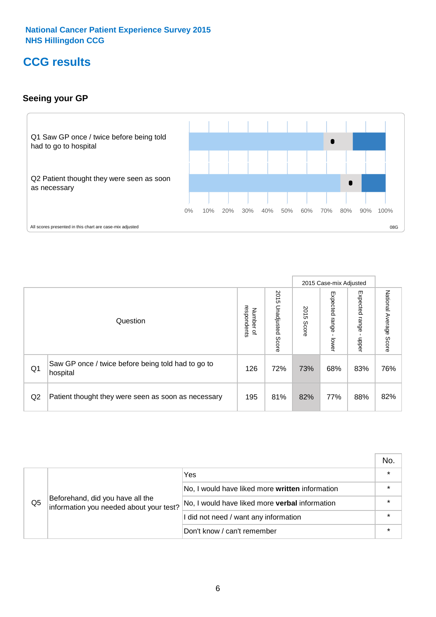## **CCG results**

## **Seeing your GP**



|    |                                                                |                                         |                             |               | 2015 Case-mix Adjusted     |                            |                           |
|----|----------------------------------------------------------------|-----------------------------------------|-----------------------------|---------------|----------------------------|----------------------------|---------------------------|
|    | Question                                                       | respondents<br>Number<br>$\overline{a}$ | 2015<br>Unadjusted<br>Score | 2015<br>Score | Expected<br>range<br>lower | Expected<br>range<br>dpper | National Average<br>Score |
| Q1 | Saw GP once / twice before being told had to go to<br>hospital | 126                                     | 72%                         | 73%           | 68%                        | 83%                        | 76%                       |
| Q2 | Patient thought they were seen as soon as necessary            | 195                                     | 81%                         | 82%           | 77%                        | 88%                        | 82%                       |

|    |                                                                             |                                                 | No. |
|----|-----------------------------------------------------------------------------|-------------------------------------------------|-----|
|    |                                                                             | Yes                                             |     |
|    | Beforehand, did you have all the<br>information you needed about your test? | No, I would have liked more written information |     |
| Q5 |                                                                             | No, I would have liked more verbal information  |     |
|    |                                                                             | I did not need / want any information           |     |
|    |                                                                             | Don't know / can't remember                     |     |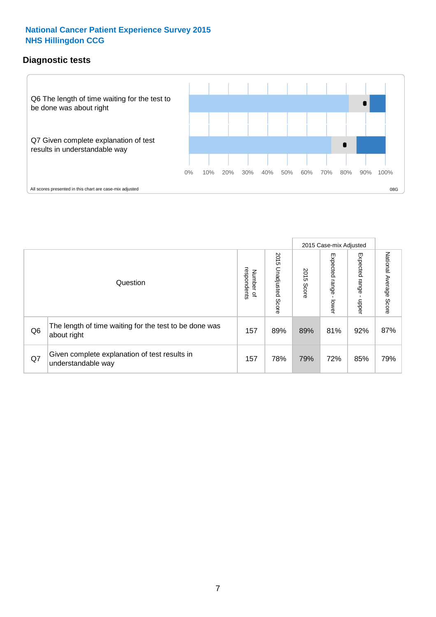## **Diagnostic tests**



|                |                                                                       |                                       |                             |               | 2015 Case-mix Adjusted  |                         |                           |
|----------------|-----------------------------------------------------------------------|---------------------------------------|-----------------------------|---------------|-------------------------|-------------------------|---------------------------|
|                | Question                                                              | respondents<br>Number<br>$\mathbf{Q}$ | 2015<br>Unadjusted<br>Score | 2015<br>Score | Expected range<br>lower | Expected range<br>nbber | National Average<br>Score |
| Q <sub>6</sub> | The length of time waiting for the test to be done was<br>about right | 157                                   | 89%                         | 89%           | 81%                     | 92%                     | 87%                       |
| Q7             | Given complete explanation of test results in<br>understandable way   | 157                                   | 78%                         | 79%           | 72%                     | 85%                     | 79%                       |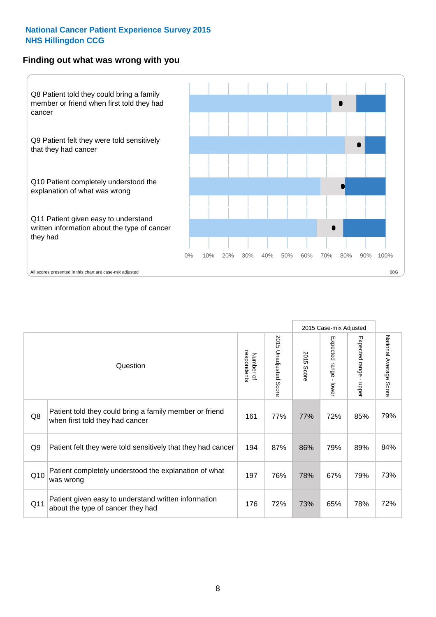#### **Finding out what was wrong with you**



|                |                                                                                            |                          |                       |               | 2015 Case-mix Adjusted                    |                                           |                        |
|----------------|--------------------------------------------------------------------------------------------|--------------------------|-----------------------|---------------|-------------------------------------------|-------------------------------------------|------------------------|
|                | Question                                                                                   | respondents<br>Number of | 2015 Unadjusted Score | 2015<br>Score | Expected range<br>$\blacksquare$<br>lower | Expected range<br>$\blacksquare$<br>nbber | National Average Score |
| Q8             | Patient told they could bring a family member or friend<br>when first told they had cancer | 161                      | 77%                   | 77%           | 72%                                       | 85%                                       | 79%                    |
| Q <sub>9</sub> | Patient felt they were told sensitively that they had cancer                               | 194                      | 87%                   | 86%           | 79%                                       | 89%                                       | 84%                    |
| Q10            | Patient completely understood the explanation of what<br>was wrong                         | 197                      | 76%                   | 78%           | 67%                                       | 79%                                       | 73%                    |
| Q11            | Patient given easy to understand written information<br>about the type of cancer they had  | 176                      | 72%                   | 73%           | 65%                                       | 78%                                       | 72%                    |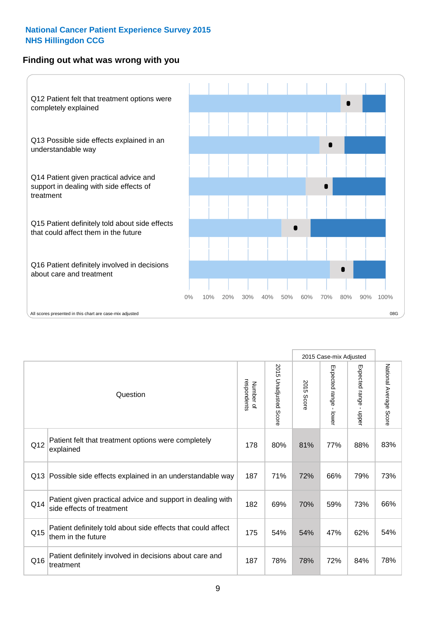### **Finding out what was wrong with you**



|     |                                                                                         |                          |                          |               | 2015 Case-mix Adjusted                  |                           |                        |
|-----|-----------------------------------------------------------------------------------------|--------------------------|--------------------------|---------------|-----------------------------------------|---------------------------|------------------------|
|     | Question                                                                                | Number of<br>respondents | 2015<br>Unadjusted Score | 2015<br>Score | Expected range<br>$\mathbf{r}$<br>lower | Expected range<br>- nbber | National Average Score |
| Q12 | Patient felt that treatment options were completely<br>explained                        | 178                      | 80%                      | 81%           | 77%                                     | 88%                       | 83%                    |
| Q13 | Possible side effects explained in an understandable way                                | 187                      | 71%                      | 72%           | 66%                                     | 79%                       | 73%                    |
| Q14 | Patient given practical advice and support in dealing with<br>side effects of treatment | 182                      | 69%                      | 70%           | 59%                                     | 73%                       | 66%                    |
| Q15 | Patient definitely told about side effects that could affect<br>them in the future      | 175                      | 54%                      | 54%           | 47%                                     | 62%                       | 54%                    |
| Q16 | Patient definitely involved in decisions about care and<br>treatment                    | 187                      | 78%                      | 78%           | 72%                                     | 84%                       | 78%                    |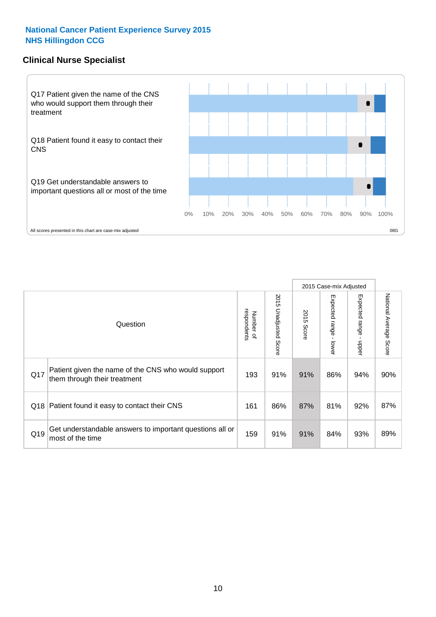### **Clinical Nurse Specialist**



|     |                                                                                     |                          |                       |               | 2015 Case-mix Adjusted  |                         |                        |
|-----|-------------------------------------------------------------------------------------|--------------------------|-----------------------|---------------|-------------------------|-------------------------|------------------------|
|     | Question                                                                            | respondents<br>Number of | 2015 Unadjusted Score | 2015<br>Score | Expected range<br>lower | Expected range<br>nbber | National Average Score |
| Q17 | Patient given the name of the CNS who would support<br>them through their treatment | 193                      | 91%                   | 91%           | 86%                     | 94%                     | 90%                    |
|     | Q18 Patient found it easy to contact their CNS                                      | 161                      | 86%                   | 87%           | 81%                     | 92%                     | 87%                    |
| Q19 | Get understandable answers to important questions all or<br>most of the time        | 159                      | 91%                   | 91%           | 84%                     | 93%                     | 89%                    |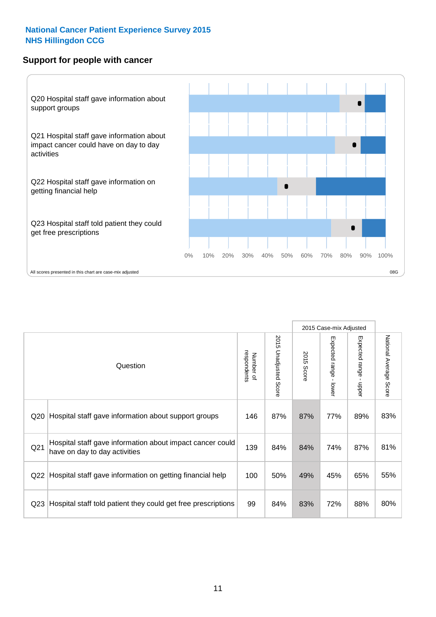#### **Support for people with cancer**



|                 |                                                                                            |                          |                                 |               | 2015 Case-mix Adjusted  |                                           |                        |
|-----------------|--------------------------------------------------------------------------------------------|--------------------------|---------------------------------|---------------|-------------------------|-------------------------------------------|------------------------|
|                 | Question                                                                                   | respondents<br>Number of | 2015<br><b>Unadjusted Score</b> | 2015<br>Score | Expected range<br>lower | Expected range<br>$\blacksquare$<br>nbber | National Average Score |
| Q20             | Hospital staff gave information about support groups                                       | 146                      | 87%                             | 87%           | 77%                     | 89%                                       | 83%                    |
| Q <sub>21</sub> | Hospital staff gave information about impact cancer could<br>have on day to day activities | 139                      | 84%                             | 84%           | 74%                     | 87%                                       | 81%                    |
| Q22             | Hospital staff gave information on getting financial help                                  | 100                      | 50%                             | 49%           | 45%                     | 65%                                       | 55%                    |
| Q <sub>23</sub> | Hospital staff told patient they could get free prescriptions                              | 99                       | 84%                             | 83%           | 72%                     | 88%                                       | 80%                    |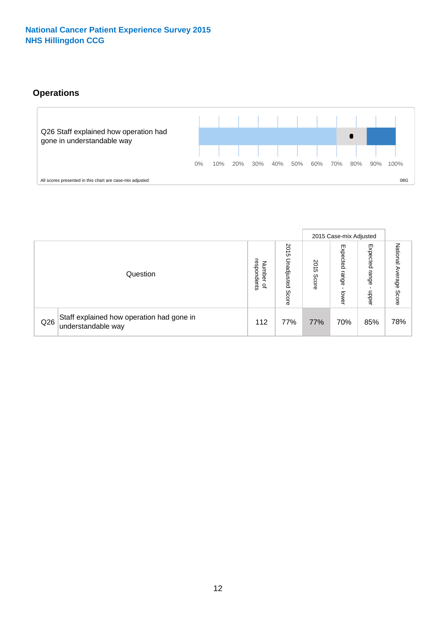## **Operations**



|     |                                                                 |                                         |                             |               | 2015 Case-mix Adjusted     |                           |                              |
|-----|-----------------------------------------------------------------|-----------------------------------------|-----------------------------|---------------|----------------------------|---------------------------|------------------------------|
|     | Question                                                        | respondents<br>Number<br>$\overline{a}$ | 2015<br>Unadjusted<br>Score | 2015<br>Score | Expected<br>range<br>lower | Expected<br>range<br>ddoe | National<br>Average<br>Score |
| Q26 | Staff explained how operation had gone in<br>understandable way | 112                                     | 77%                         | 77%           | 70%                        | 85%                       | 78%                          |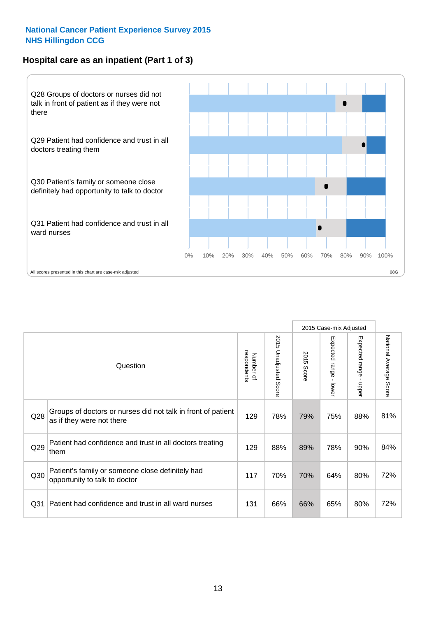## **Hospital care as an inpatient (Part 1 of 3)**



All scores presented in this chart are case-mix adjusted  $08G$ 

|                 |                                                                                           |                          |                                 |               | 2015 Case-mix Adjusted                    |                           |                        |
|-----------------|-------------------------------------------------------------------------------------------|--------------------------|---------------------------------|---------------|-------------------------------------------|---------------------------|------------------------|
|                 | Question                                                                                  | respondents<br>Number of | 2015<br><b>Unadjusted Score</b> | 2015<br>Score | Expected range<br>$\blacksquare$<br>lower | Expected range<br>- nbber | National Average Score |
| Q28             | Groups of doctors or nurses did not talk in front of patient<br>as if they were not there | 129                      | 78%                             | 79%           | 75%                                       | 88%                       | 81%                    |
| Q29             | Patient had confidence and trust in all doctors treating<br>them                          | 129                      | 88%                             | 89%           | 78%                                       | 90%                       | 84%                    |
| Q30             | Patient's family or someone close definitely had<br>opportunity to talk to doctor         | 117                      | 70%                             | 70%           | 64%                                       | 80%                       | 72%                    |
| Q <sub>31</sub> | Patient had confidence and trust in all ward nurses                                       | 131                      | 66%                             | 66%           | 65%                                       | 80%                       | 72%                    |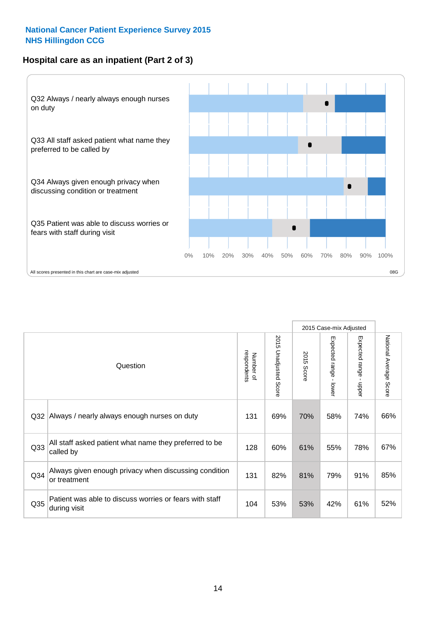## **Hospital care as an inpatient (Part 2 of 3)**



|                 |                                                                         |                          |                          |               | 2015 Case-mix Adjusted                  |                                           |                        |
|-----------------|-------------------------------------------------------------------------|--------------------------|--------------------------|---------------|-----------------------------------------|-------------------------------------------|------------------------|
|                 | Question                                                                | respondents<br>Number of | 2015<br>Unadjusted Score | 2015<br>Score | Expected range<br>$\mathbf{r}$<br>lower | Expected range<br>$\blacksquare$<br>nbber | National Average Score |
| Q <sub>32</sub> | Always / nearly always enough nurses on duty                            | 131                      | 69%                      | 70%           | 58%                                     | 74%                                       | 66%                    |
| Q <sub>33</sub> | All staff asked patient what name they preferred to be<br>called by     | 128                      | 60%                      | 61%           | 55%                                     | 78%                                       | 67%                    |
| Q <sub>34</sub> | Always given enough privacy when discussing condition<br>or treatment   | 131                      | 82%                      | 81%           | 79%                                     | 91%                                       | 85%                    |
| Q35             | Patient was able to discuss worries or fears with staff<br>during visit | 104                      | 53%                      | 53%           | 42%                                     | 61%                                       | 52%                    |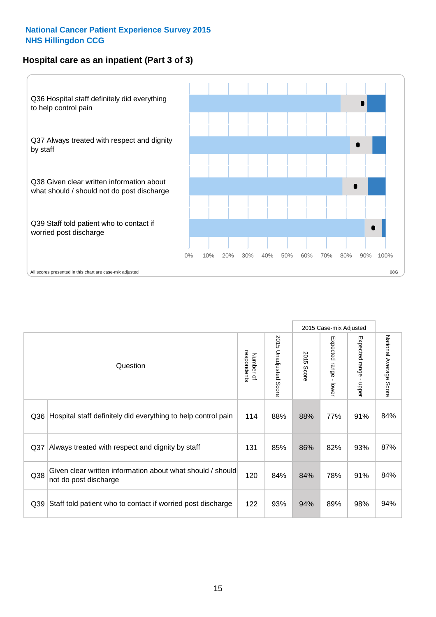## **Hospital care as an inpatient (Part 3 of 3)**



2015 Case-mix Adjusted 2015 Unadjusted Score Expected range - lower Expected range - upper 2015 Unadjusted Score Expected range - upper Expected range - lower Number of<br>respondents respondents 2015 Score 2015 Score Number of Question Q36 Rospital staff definitely did everything to help control pain | 114 | 88% | 88% | 77% | 91% | 84% Q37 Always treated with respect and dignity by staff  $\qquad \qquad \mid 131 \mid 85\% \mid 86\% \mid 82\% \mid 93\% \mid 87\%$ Given clear written information about what should / should Q38 not do post discharge and the state of the state of the case of the case of the case of the case of the case of the case of the case of the case of the case of the case of the case of the case of the case of the case o Q39 Staff told patient who to contact if worried post discharge | 122 | 93% | 94% | 89% | 98% | 94%

National Average Score

National Average Score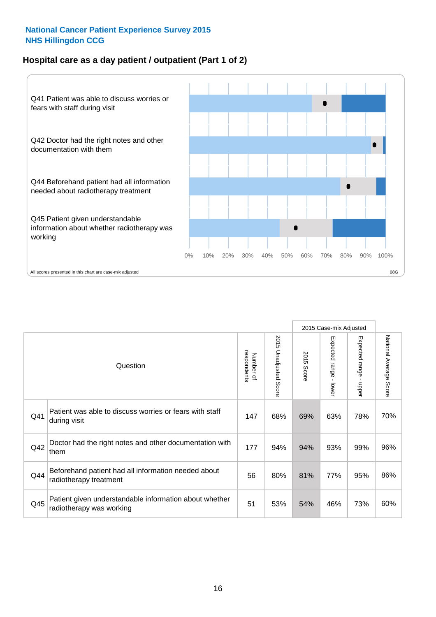## **Hospital care as a day patient / outpatient (Part 1 of 2)**



|     |                                                                                    |                          |                                 |                      | 2015 Case-mix Adjusted                  |                                         |                        |
|-----|------------------------------------------------------------------------------------|--------------------------|---------------------------------|----------------------|-----------------------------------------|-----------------------------------------|------------------------|
|     | Question                                                                           | respondents<br>Number of | 2015<br><b>Unadjusted Score</b> | 2015<br><b>Score</b> | Expected range<br>$\mathbf{r}$<br>lower | Expected range<br>$\mathbf{r}$<br>nbber | National Average Score |
| Q41 | Patient was able to discuss worries or fears with staff<br>during visit            | 147                      | 68%                             | 69%                  | 63%                                     | 78%                                     | 70%                    |
| Q42 | Doctor had the right notes and other documentation with<br>them                    | 177                      | 94%                             | 94%                  | 93%                                     | 99%                                     | 96%                    |
| Q44 | Beforehand patient had all information needed about<br>radiotherapy treatment      | 56                       | 80%                             | 81%                  | 77%                                     | 95%                                     | 86%                    |
| Q45 | Patient given understandable information about whether<br>radiotherapy was working | 51                       | 53%                             | 54%                  | 46%                                     | 73%                                     | 60%                    |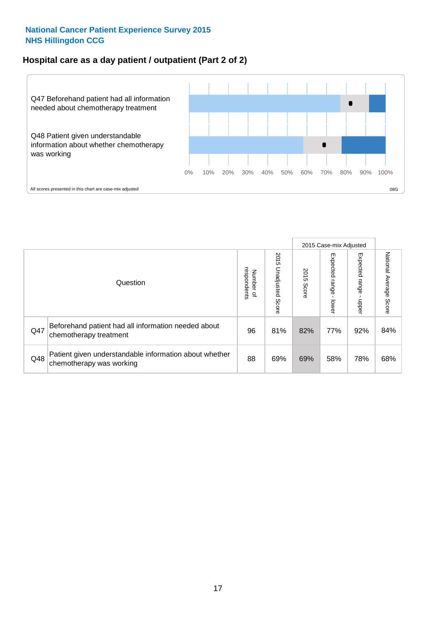## **Hospital care as a day patient / outpatient (Part 2 of 2)**



|     |                                                                                    |                                       |                             |               | 2015 Case-mix Adjusted       |                         |                           |
|-----|------------------------------------------------------------------------------------|---------------------------------------|-----------------------------|---------------|------------------------------|-------------------------|---------------------------|
|     | Question                                                                           | respondents<br>Number<br>$\mathbf{Q}$ | 2015<br>Unadjusted<br>Score | 2015<br>Score | Expected<br>I range<br>lower | Expected range<br>nbber | National Average<br>Score |
| Q47 | Beforehand patient had all information needed about<br>chemotherapy treatment      | 96                                    | 81%                         | 82%           | 77%                          | 92%                     | 84%                       |
| Q48 | Patient given understandable information about whether<br>chemotherapy was working | 88                                    | 69%                         | 69%           | 58%                          | 78%                     | 68%                       |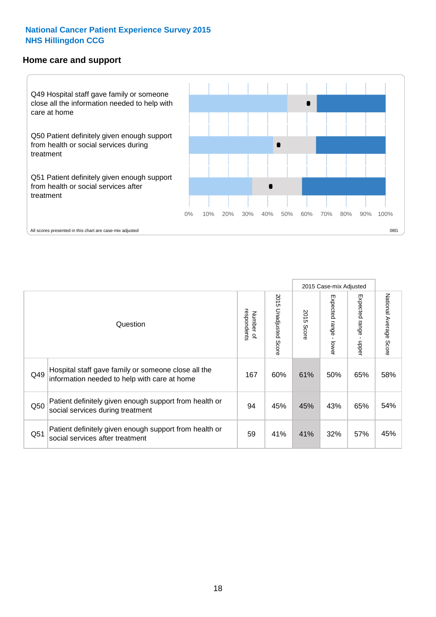#### **Home care and support**



|     |                                                                                                     |                          |                       |               | 2015 Case-mix Adjusted  |                             |                           |
|-----|-----------------------------------------------------------------------------------------------------|--------------------------|-----------------------|---------------|-------------------------|-----------------------------|---------------------------|
|     | Question                                                                                            | respondents<br>Number of | 2015 Unadjusted Score | 2015<br>Score | Expected range<br>lower | Expected<br>l range<br>mper | National Average<br>Score |
| Q49 | Hospital staff gave family or someone close all the<br>information needed to help with care at home | 167                      | 60%                   | 61%           | 50%                     | 65%                         | 58%                       |
| Q50 | Patient definitely given enough support from health or<br>social services during treatment          | 94                       | 45%                   | 45%           | 43%                     | 65%                         | 54%                       |
| Q51 | Patient definitely given enough support from health or<br>social services after treatment           | 59                       | 41%                   | 41%           | 32%                     | 57%                         | 45%                       |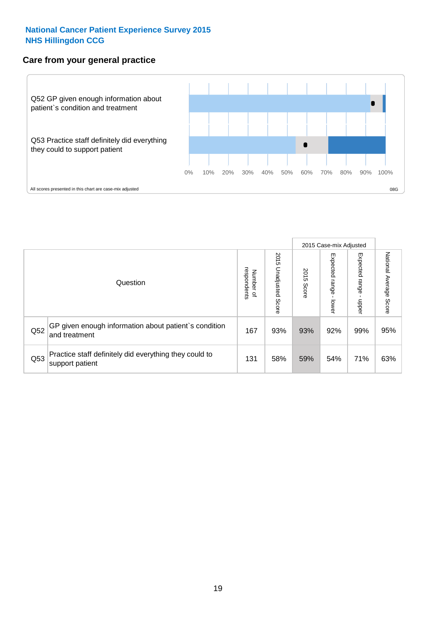## **Care from your general practice**



|     |                                                                           |                                       |                             |               | 2015 Case-mix Adjusted            |                            |                           |
|-----|---------------------------------------------------------------------------|---------------------------------------|-----------------------------|---------------|-----------------------------------|----------------------------|---------------------------|
|     | Question                                                                  | respondents<br>Number<br>$\mathbf{Q}$ | 2015<br>Unadjusted<br>Score | 2015<br>Score | Expected<br><b>Lange</b><br>lower | Expected<br>range<br>doper | National Average<br>Score |
| Q52 | GP given enough information about patient's condition<br>and treatment    | 167                                   | 93%                         | 93%           | 92%                               | 99%                        | 95%                       |
| Q53 | Practice staff definitely did everything they could to<br>support patient | 131                                   | 58%                         | 59%           | 54%                               | 71%                        | 63%                       |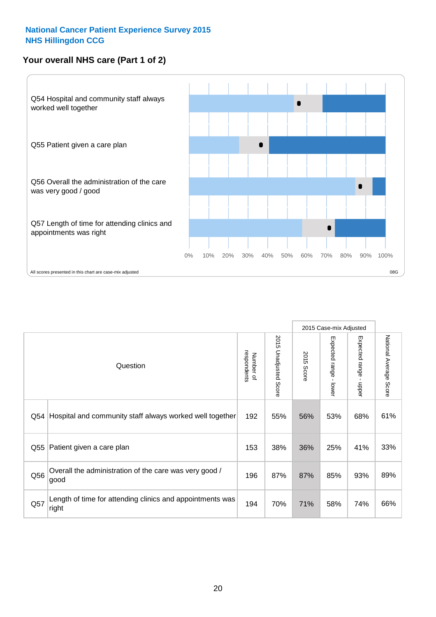## **Your overall NHS care (Part 1 of 2)**



|     |                                                                    |                          |                       |                      | 2015 Case-mix Adjusted                    |                                           |                        |
|-----|--------------------------------------------------------------------|--------------------------|-----------------------|----------------------|-------------------------------------------|-------------------------------------------|------------------------|
|     | Question                                                           | respondents<br>Number of | 2015 Unadjusted Score | 2015<br><b>Score</b> | Expected range<br>$\blacksquare$<br>lower | Expected range<br>$\blacksquare$<br>nbber | National Average Score |
| Q54 | Hospital and community staff always worked well together           | 192                      | 55%                   | 56%                  | 53%                                       | 68%                                       | 61%                    |
| Q55 | Patient given a care plan                                          | 153                      | 38%                   | 36%                  | 25%                                       | 41%                                       | 33%                    |
| Q56 | Overall the administration of the care was very good /<br>good     | 196                      | 87%                   | 87%                  | 85%                                       | 93%                                       | 89%                    |
| Q57 | Length of time for attending clinics and appointments was<br>right | 194                      | 70%                   | 71%                  | 58%                                       | 74%                                       | 66%                    |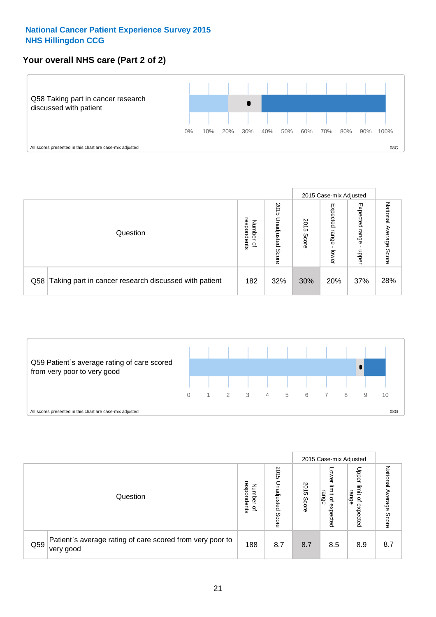## **Your overall NHS care (Part 2 of 2)**



|     |                                                       |                                              |                             |               | 2015 Case-mix Adjusted     |                            |                        |
|-----|-------------------------------------------------------|----------------------------------------------|-----------------------------|---------------|----------------------------|----------------------------|------------------------|
|     | Question                                              | respondents<br>Number<br>$\overline{\sigma}$ | 2015<br>Inadjusted<br>Score | 2015<br>Score | Expected<br>range<br>lower | Expected<br>range<br>doper | National Average Score |
| Q58 | Taking part in cancer research discussed with patient | 182                                          | 32%                         | 30%           | 20%                        | 37%                        | 28%                    |



|     |                                                                                     |                                              |                             |               | 2015 Case-mix Adjusted                  |                                                       |                        |
|-----|-------------------------------------------------------------------------------------|----------------------------------------------|-----------------------------|---------------|-----------------------------------------|-------------------------------------------------------|------------------------|
|     | Question                                                                            | respondents<br>Number<br>$\overline{\sigma}$ | 2015<br>Unadjusted<br>Score | 2015<br>Score | OWer<br>limit<br>range<br>٩<br>expected | Upper<br>jimit<br>range<br>$\overline{a}$<br>expected | National Average Score |
| Q59 | Patient's average rating of care scored from very poor to<br><sup>∖</sup> very good | 188                                          | 8.7                         | 8.7           | 8.5                                     | 8.9                                                   | 8.7                    |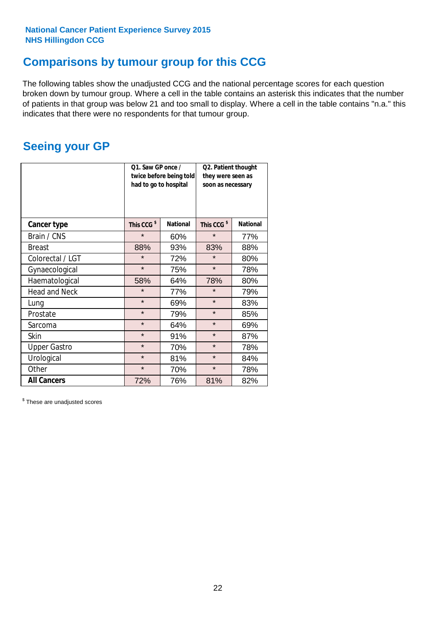## **Comparisons by tumour group for this CCG**

The following tables show the unadjusted CCG and the national percentage scores for each question broken down by tumour group. Where a cell in the table contains an asterisk this indicates that the number of patients in that group was below 21 and too small to display. Where a cell in the table contains "n.a." this indicates that there were no respondents for that tumour group.

## **Seeing your GP**

|                      | Q1. Saw GP once /<br>had to go to hospital | twice before being told | Q2. Patient thought<br>they were seen as<br>soon as necessary |                 |  |
|----------------------|--------------------------------------------|-------------------------|---------------------------------------------------------------|-----------------|--|
| <b>Cancer type</b>   | This CCG <sup>\$</sup>                     | <b>National</b>         | This CCG <sup>\$</sup>                                        | <b>National</b> |  |
| Brain / CNS          | $\star$                                    | 60%                     | $\star$                                                       | 77%             |  |
| <b>Breast</b>        | 88%                                        | 93%                     | 83%                                                           | 88%             |  |
| Colorectal / LGT     | $\star$                                    | 72%                     | $\star$                                                       | 80%             |  |
| Gynaecological       | $\star$                                    | 75%                     | $\star$                                                       | 78%             |  |
| Haematological       | 58%                                        | 64%                     | 78%                                                           | 80%             |  |
| <b>Head and Neck</b> | $\star$                                    | 77%                     | $\star$                                                       | 79%             |  |
| Lung                 | $\star$                                    | 69%                     | $\star$                                                       | 83%             |  |
| Prostate             | $\star$                                    | 79%                     | $\star$                                                       | 85%             |  |
| Sarcoma              | $\star$                                    | 64%                     | $\star$                                                       | 69%             |  |
| Skin                 | $\star$                                    | 91%                     | $\star$                                                       | 87%             |  |
| <b>Upper Gastro</b>  | $\star$                                    | 70%                     | $\star$                                                       | 78%             |  |
| Urological           | $\star$                                    | 81%                     | $\star$                                                       | 84%             |  |
| Other                | $\star$                                    | 70%                     | $\star$                                                       | 78%             |  |
| <b>All Cancers</b>   | 72%                                        | 76%                     | 81%                                                           | 82%             |  |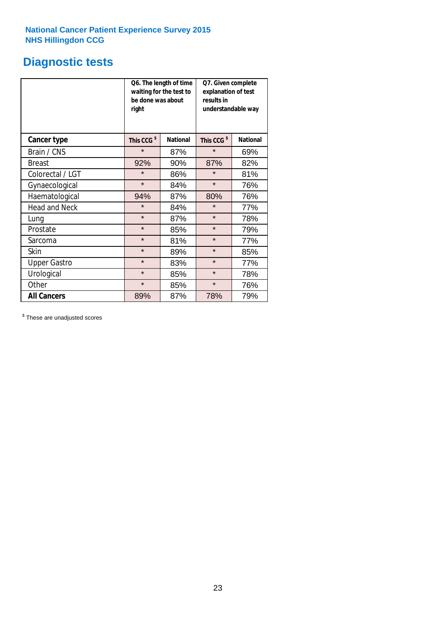## **Diagnostic tests**

|                      | be done was about<br>right | Q6. The length of time<br>waiting for the test to | Q7. Given complete<br>explanation of test<br>results in<br>understandable way |                 |  |
|----------------------|----------------------------|---------------------------------------------------|-------------------------------------------------------------------------------|-----------------|--|
| <b>Cancer type</b>   | This CCG <sup>\$</sup>     | <b>National</b>                                   | This CCG <sup>\$</sup>                                                        | <b>National</b> |  |
| Brain / CNS          | $\star$                    | 87%                                               | $\star$                                                                       | 69%             |  |
| <b>Breast</b>        | 92%                        | 90%                                               | 87%                                                                           | 82%             |  |
| Colorectal / LGT     | $\star$                    | 86%                                               | $\star$                                                                       | 81%             |  |
| Gynaecological       | $\star$                    | 84%                                               | $\star$                                                                       | 76%             |  |
| Haematological       | 94%                        | 87%                                               | 80%                                                                           | 76%             |  |
| <b>Head and Neck</b> | $\star$                    | 84%                                               | $\star$                                                                       | 77%             |  |
| Lung                 | $\star$                    | 87%                                               | $\star$                                                                       | 78%             |  |
| Prostate             | $\star$                    | 85%                                               | $\star$                                                                       | 79%             |  |
| Sarcoma              | $\star$                    | 81%                                               | $\star$                                                                       | 77%             |  |
| <b>Skin</b>          | $\star$                    | 89%                                               | $\star$                                                                       | 85%             |  |
| <b>Upper Gastro</b>  | $\star$                    | 83%                                               | $\star$                                                                       | 77%             |  |
| Urological           | $\star$                    | 85%                                               | $\star$                                                                       | 78%             |  |
| Other                | $\star$                    | 85%                                               | $\star$                                                                       | 76%             |  |
| <b>All Cancers</b>   | 89%                        | 87%                                               | 78%                                                                           | 79%             |  |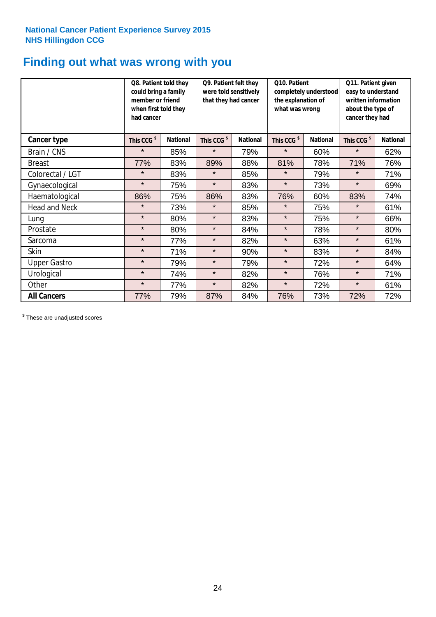## **Finding out what was wrong with you**

|                      | Q8. Patient told they<br>could bring a family<br>member or friend<br>when first told they<br>had cancer |                 | Q9. Patient felt they<br>were told sensitively<br>that they had cancer |                 | Q10. Patient<br>the explanation of<br>what was wrong | completely understood | Q11. Patient given<br>easy to understand<br>written information<br>about the type of<br>cancer they had |                 |
|----------------------|---------------------------------------------------------------------------------------------------------|-----------------|------------------------------------------------------------------------|-----------------|------------------------------------------------------|-----------------------|---------------------------------------------------------------------------------------------------------|-----------------|
| Cancer type          | This CCG <sup>\$</sup>                                                                                  | <b>National</b> | This CCG <sup>\$</sup>                                                 | <b>National</b> | This CCG <sup>\$</sup>                               | <b>National</b>       | This CCG <sup>\$</sup>                                                                                  | <b>National</b> |
| Brain / CNS          | $\star$                                                                                                 | 85%             | $\star$                                                                | 79%             | $\star$                                              | 60%                   | $\star$                                                                                                 | 62%             |
| <b>Breast</b>        | 77%                                                                                                     | 83%             | 89%                                                                    | 88%             | 81%                                                  | 78%                   | 71%                                                                                                     | 76%             |
| Colorectal / LGT     | $\star$                                                                                                 | 83%             | $\star$                                                                | 85%             | $\star$                                              | 79%                   | $\star$                                                                                                 | 71%             |
| Gynaecological       | $\star$                                                                                                 | 75%             | $\star$                                                                | 83%             | $\star$                                              | 73%                   | $\star$                                                                                                 | 69%             |
| Haematological       | 86%                                                                                                     | 75%             | 86%                                                                    | 83%             | 76%                                                  | 60%                   | 83%                                                                                                     | 74%             |
| <b>Head and Neck</b> | $\star$                                                                                                 | 73%             | $\star$                                                                | 85%             | $\star$                                              | 75%                   | $\star$                                                                                                 | 61%             |
| Lung                 | $\star$                                                                                                 | 80%             | $\star$                                                                | 83%             | $\star$                                              | 75%                   | $\star$                                                                                                 | 66%             |
| Prostate             | $\star$                                                                                                 | 80%             | $\star$                                                                | 84%             | $\star$                                              | 78%                   | $\star$                                                                                                 | 80%             |
| Sarcoma              | $\star$                                                                                                 | 77%             | $\star$                                                                | 82%             | $\star$                                              | 63%                   | $\star$                                                                                                 | 61%             |
| Skin                 | $\star$                                                                                                 | 71%             | $\star$                                                                | 90%             | $\star$                                              | 83%                   | $\star$                                                                                                 | 84%             |
| <b>Upper Gastro</b>  | $\star$                                                                                                 | 79%             | $\star$                                                                | 79%             | $\star$                                              | 72%                   | $\star$                                                                                                 | 64%             |
| Urological           | $\star$                                                                                                 | 74%             | $\star$                                                                | 82%             | $\star$                                              | 76%                   | $\star$                                                                                                 | 71%             |
| Other                | $\star$                                                                                                 | 77%             | $\star$                                                                | 82%             | $\star$                                              | 72%                   | $\star$                                                                                                 | 61%             |
| <b>All Cancers</b>   | 77%                                                                                                     | 79%             | 87%                                                                    | 84%             | 76%                                                  | 73%                   | 72%                                                                                                     | 72%             |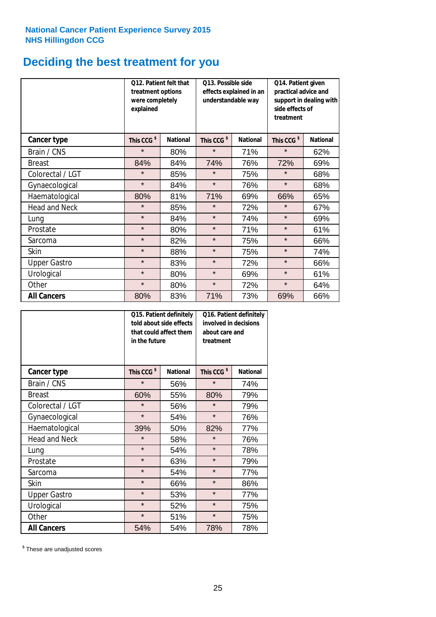## **Deciding the best treatment for you**

|                      | <b>O12. Patient felt that</b><br>treatment options<br>were completely<br>explained |                 |                        | O13. Possible side<br>effects explained in an<br>understandable way | Q14. Patient given<br>practical advice and<br>support in dealing with<br>side effects of<br>treatment |                 |  |
|----------------------|------------------------------------------------------------------------------------|-----------------|------------------------|---------------------------------------------------------------------|-------------------------------------------------------------------------------------------------------|-----------------|--|
| <b>Cancer type</b>   | This CCG <sup>\$</sup>                                                             | <b>National</b> | This CCG <sup>\$</sup> | <b>National</b>                                                     | This CCG <sup>\$</sup>                                                                                | <b>National</b> |  |
| Brain / CNS          | $\star$                                                                            | 80%             | $\star$                | 71%                                                                 | $\star$                                                                                               | 62%             |  |
| <b>Breast</b>        | 84%                                                                                | 84%             | 74%                    | 76%                                                                 | 72%                                                                                                   | 69%             |  |
| Colorectal / LGT     | $\star$                                                                            | 85%             | $\star$                | 75%                                                                 | $\star$                                                                                               | 68%             |  |
| Gynaecological       | $\star$                                                                            | 84%             | $\star$                | 76%                                                                 | $\star$                                                                                               | 68%             |  |
| Haematological       | 80%                                                                                | 81%             | 71%                    | 69%                                                                 | 66%                                                                                                   | 65%             |  |
| <b>Head and Neck</b> | $\star$                                                                            | 85%             | $\star$                | 72%                                                                 | $\star$                                                                                               | 67%             |  |
| Lung                 | $\star$                                                                            | 84%             | $\star$                | 74%                                                                 | $\star$                                                                                               | 69%             |  |
| Prostate             | $\star$                                                                            | 80%             | $\star$                | 71%                                                                 | $\star$                                                                                               | 61%             |  |
| Sarcoma              | $\star$                                                                            | 82%             | $\star$                | 75%                                                                 | $\star$                                                                                               | 66%             |  |
| Skin                 | $\star$                                                                            | 88%             | $\star$                | 75%                                                                 | $\star$                                                                                               | 74%             |  |
| <b>Upper Gastro</b>  | $\star$                                                                            | 83%             | $\star$                | 72%                                                                 | $\star$                                                                                               | 66%             |  |
| Urological           | $\star$                                                                            | 80%             | $\star$                | 69%                                                                 | $\star$                                                                                               | 61%             |  |
| Other                | $\star$                                                                            | 80%             | $\star$                | 72%                                                                 | $\star$                                                                                               | 64%             |  |
| <b>All Cancers</b>   | 80%                                                                                | 83%             | 71%                    | 73%                                                                 | 69%                                                                                                   | 66%             |  |

|                      | in the future          | Q15. Patient definitely<br>told about side effects<br>that could affect them | Q16. Patient definitely<br>involved in decisions<br>about care and<br>treatment |                 |  |
|----------------------|------------------------|------------------------------------------------------------------------------|---------------------------------------------------------------------------------|-----------------|--|
| <b>Cancer type</b>   | This CCG <sup>\$</sup> | <b>National</b>                                                              | This CCG <sup>\$</sup>                                                          | <b>National</b> |  |
| Brain / CNS          | $\star$                | 56%                                                                          | $\star$                                                                         | 74%             |  |
| <b>Breast</b>        | 60%                    | 55%                                                                          | 80%                                                                             | 79%             |  |
| Colorectal / LGT     | $\star$                | 56%                                                                          | $\star$                                                                         | 79%             |  |
| Gynaecological       | $\star$                | 54%                                                                          | $\star$                                                                         | 76%             |  |
| Haematological       | 39%                    | 50%                                                                          |                                                                                 | 77%             |  |
| <b>Head and Neck</b> | $\star$                | 58%                                                                          | $\star$                                                                         | 76%             |  |
| Lung                 | $\star$                | 54%                                                                          | $\star$                                                                         | 78%             |  |
| Prostate             | $\star$                | 63%                                                                          | $\star$                                                                         | 79%             |  |
| Sarcoma              | $\star$                | 54%                                                                          | $\star$                                                                         | 77%             |  |
| Skin                 | $\star$                | 66%                                                                          | $\star$                                                                         | 86%             |  |
| <b>Upper Gastro</b>  | $\star$                | 53%                                                                          | $\star$                                                                         | 77%             |  |
| Urological           | $\star$                | 52%                                                                          | $\star$                                                                         | 75%             |  |
| Other                | $\star$                | 51%                                                                          | $\star$                                                                         | 75%             |  |
| <b>All Cancers</b>   | 54%                    | 54%                                                                          | 78%                                                                             | 78%             |  |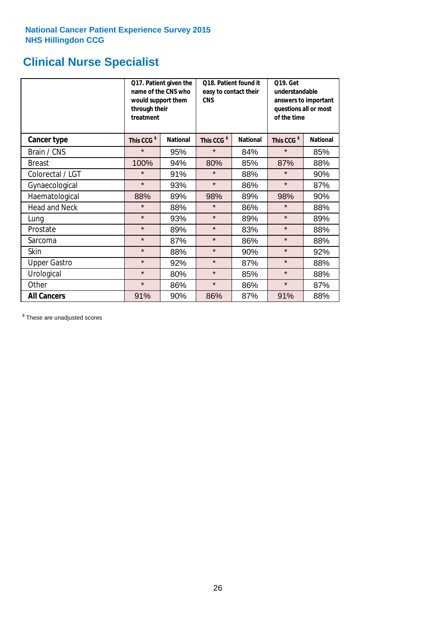## **Clinical Nurse Specialist**

|                      | would support them<br>through their<br>treatment | Q17. Patient given the<br>name of the CNS who | Q18. Patient found it<br>easy to contact their<br><b>CNS</b> |                 | <b>Q19. Get</b><br>understandable<br>answers to important<br>questions all or most<br>of the time |                 |  |
|----------------------|--------------------------------------------------|-----------------------------------------------|--------------------------------------------------------------|-----------------|---------------------------------------------------------------------------------------------------|-----------------|--|
| Cancer type          | This CCG <sup>\$</sup>                           | <b>National</b>                               | This CCG <sup>\$</sup>                                       | <b>National</b> | This CCG <sup>\$</sup>                                                                            | <b>National</b> |  |
| Brain / CNS          | $\star$                                          | 95%                                           | $\star$                                                      | 84%             | $\star$                                                                                           | 85%             |  |
| <b>Breast</b>        | 100%                                             | 94%                                           | 80%                                                          | 85%             | 87%                                                                                               | 88%             |  |
| Colorectal / LGT     | $\star$                                          | 91%                                           | $\star$                                                      | 88%             | $\star$                                                                                           | 90%             |  |
| Gynaecological       | $\star$                                          | 93%                                           | $\star$                                                      | 86%             | $\star$                                                                                           | 87%             |  |
| Haematological       | 88%                                              | 89%                                           | 98%                                                          | 89%             | 98%                                                                                               | 90%             |  |
| <b>Head and Neck</b> | $\star$                                          | 88%                                           | $\star$                                                      | 86%             | $\star$                                                                                           | 88%             |  |
| Lung                 | $\star$                                          | 93%                                           | $\star$                                                      | 89%             | $\star$                                                                                           | 89%             |  |
| Prostate             | $\star$                                          | 89%                                           | $\star$                                                      | 83%             | $\star$                                                                                           | 88%             |  |
| Sarcoma              | $\star$                                          | 87%                                           | $\star$                                                      | 86%             | $\star$                                                                                           | 88%             |  |
| Skin                 | $\star$                                          | 88%                                           | $\star$                                                      | 90%             | $\star$                                                                                           | 92%             |  |
| <b>Upper Gastro</b>  | $\star$                                          | 92%                                           | $\star$                                                      | 87%             | $\star$                                                                                           | 88%             |  |
| Urological           | $\star$                                          | 80%                                           | $\star$                                                      | 85%             | $\star$                                                                                           | 88%             |  |
| Other                | $\star$                                          | 86%                                           | $\star$                                                      | 86%             | $\star$                                                                                           | 87%             |  |
| <b>All Cancers</b>   | 91%                                              | 90%                                           | 86%                                                          | 87%             | 91%                                                                                               | 88%             |  |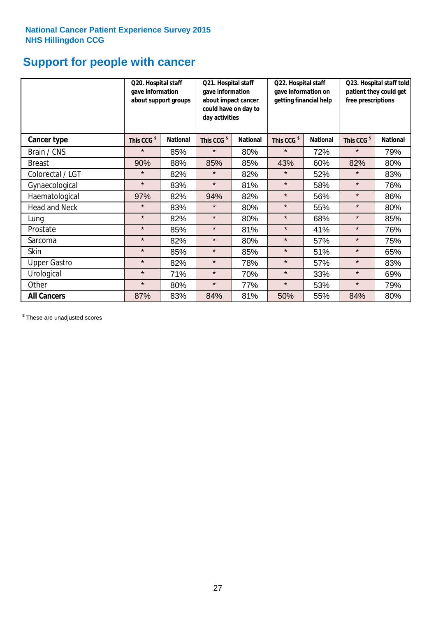## **Support for people with cancer**

|                      | Q20. Hospital staff<br>gave information | about support groups | Q21. Hospital staff<br>gave information<br>about impact cancer<br>could have on day to<br>day activities |                 | Q22. Hospital staff<br>gave information on<br>getting financial help |                 | Q23. Hospital staff told<br>patient they could get<br>free prescriptions |                 |
|----------------------|-----------------------------------------|----------------------|----------------------------------------------------------------------------------------------------------|-----------------|----------------------------------------------------------------------|-----------------|--------------------------------------------------------------------------|-----------------|
| Cancer type          | This CCG <sup>\$</sup>                  | <b>National</b>      | This CCG <sup>\$</sup>                                                                                   | <b>National</b> | This CCG <sup>\$</sup>                                               | <b>National</b> | This CCG <sup>\$</sup>                                                   | <b>National</b> |
| Brain / CNS          | $\star$                                 | 85%                  | $\star$                                                                                                  | 80%             | $\star$                                                              | 72%             | $\star$                                                                  | 79%             |
| <b>Breast</b>        | 90%                                     | 88%                  | 85%                                                                                                      | 85%             | 43%                                                                  | 60%             | 82%                                                                      | 80%             |
| Colorectal / LGT     | $\star$                                 | 82%                  | $\star$                                                                                                  | 82%             | $\star$                                                              | 52%             | $\star$                                                                  | 83%             |
| Gynaecological       | $\star$                                 | 83%                  | $\star$                                                                                                  | 81%             | $\star$                                                              | 58%             | $\star$                                                                  | 76%             |
| Haematological       | 97%                                     | 82%                  | 94%                                                                                                      | 82%             | $\star$                                                              | 56%             | $\star$                                                                  | 86%             |
| <b>Head and Neck</b> | $\star$                                 | 83%                  | $\star$                                                                                                  | 80%             | $\star$                                                              | 55%             | $\star$                                                                  | 80%             |
| Lung                 | $\star$                                 | 82%                  | $\star$                                                                                                  | 80%             | $\star$                                                              | 68%             | $\star$                                                                  | 85%             |
| Prostate             | $\star$                                 | 85%                  | $\star$                                                                                                  | 81%             | $\star$                                                              | 41%             | $\star$                                                                  | 76%             |
| Sarcoma              | $\star$                                 | 82%                  | $\star$                                                                                                  | 80%             | $\star$                                                              | 57%             | $\star$                                                                  | 75%             |
| Skin                 | $\star$                                 | 85%                  | $\star$                                                                                                  | 85%             | $\star$                                                              | 51%             | $\star$                                                                  | 65%             |
| <b>Upper Gastro</b>  | $\star$                                 | 82%                  | $\star$                                                                                                  | 78%             | $\star$                                                              | 57%             | $\star$                                                                  | 83%             |
| Urological           | $\star$                                 | 71%                  | $\star$                                                                                                  | 70%             | $\star$                                                              | 33%             | $\star$                                                                  | 69%             |
| Other                | $\star$                                 | 80%                  | $\star$                                                                                                  | 77%             | $\star$                                                              | 53%             | $\star$                                                                  | 79%             |
| <b>All Cancers</b>   | 87%                                     | 83%                  | 84%                                                                                                      | 81%             | 50%                                                                  | 55%             | 84%                                                                      | 80%             |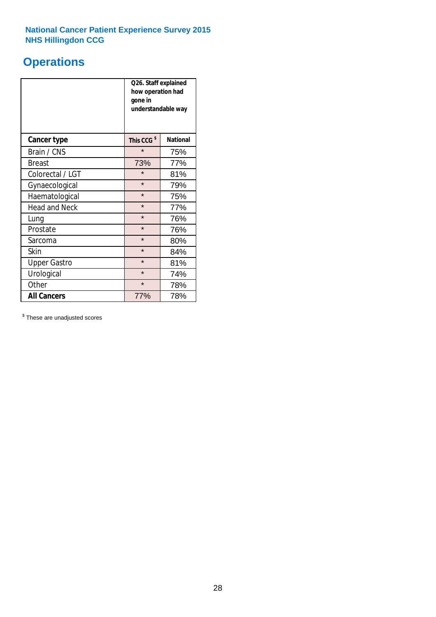## **Operations**

|                      | Q26. Staff explained<br>how operation had<br>gone in<br>understandable way |                 |  |  |  |
|----------------------|----------------------------------------------------------------------------|-----------------|--|--|--|
| <b>Cancer type</b>   | This CCG <sup>\$</sup>                                                     | <b>National</b> |  |  |  |
| Brain / CNS          | $\star$                                                                    | 75%             |  |  |  |
| <b>Breast</b>        | 73%                                                                        | 77%             |  |  |  |
| Colorectal / LGT     | $\star$                                                                    | 81%             |  |  |  |
| Gynaecological       | $\star$                                                                    | 79%             |  |  |  |
| Haematological       | $\star$                                                                    | 75%             |  |  |  |
| <b>Head and Neck</b> | $\star$                                                                    | 77%             |  |  |  |
| Lung                 | $\star$                                                                    | 76%             |  |  |  |
| Prostate             | $\star$                                                                    | 76%             |  |  |  |
| Sarcoma              | $\star$                                                                    | 80%             |  |  |  |
| Skin                 | $\star$                                                                    | 84%             |  |  |  |
| <b>Upper Gastro</b>  | $\star$                                                                    | 81%             |  |  |  |
| Urological           | $\star$                                                                    | 74%             |  |  |  |
| Other                | $\star$<br>78%                                                             |                 |  |  |  |
| <b>All Cancers</b>   | 77%                                                                        | 78%             |  |  |  |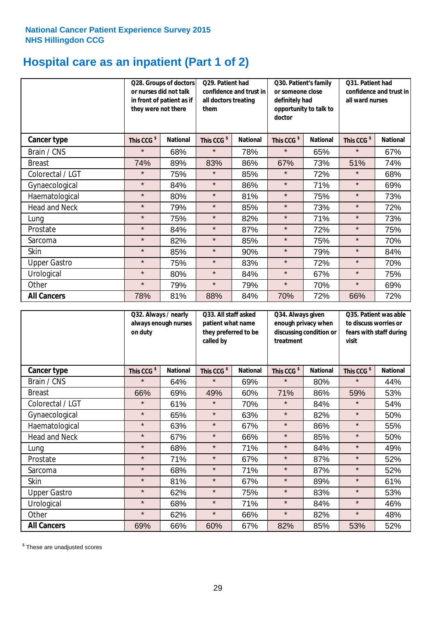## **Hospital care as an inpatient (Part 1 of 2)**

|                      | or nurses did not talk<br>they were not there | Q28. Groups of doctors<br>in front of patient as if | Q29. Patient had<br>confidence and trust in<br>all doctors treating<br>them |                 | Q30. Patient's family<br>or someone close<br>definitely had<br>opportunity to talk to<br>doctor |                 | Q31. Patient had<br>confidence and trust in I<br>all ward nurses |                 |
|----------------------|-----------------------------------------------|-----------------------------------------------------|-----------------------------------------------------------------------------|-----------------|-------------------------------------------------------------------------------------------------|-----------------|------------------------------------------------------------------|-----------------|
| Cancer type          | This CCG <sup>\$</sup>                        | <b>National</b>                                     | This CCG <sup>\$</sup>                                                      | <b>National</b> | This CCG <sup>\$</sup>                                                                          | <b>National</b> | This CCG <sup>\$</sup>                                           | <b>National</b> |
| Brain / CNS          | $\star$                                       | 68%                                                 | $\star$                                                                     | 78%             | $\star$                                                                                         | 65%             | $\star$                                                          | 67%             |
| <b>Breast</b>        | 74%                                           | 89%                                                 | 83%                                                                         | 86%             | 67%                                                                                             | 73%             | 51%                                                              | 74%             |
| Colorectal / LGT     | $\star$                                       | 75%                                                 | $\star$                                                                     | 85%             | $\star$                                                                                         | 72%             | $\star$                                                          | 68%             |
| Gynaecological       | $\star$                                       | 84%                                                 | $\star$                                                                     | 86%             | $\star$                                                                                         | 71%             | $\star$                                                          | 69%             |
| Haematological       | $\star$                                       | 80%                                                 | $\star$                                                                     | 81%             | $\star$                                                                                         | 75%             | $\star$                                                          | 73%             |
| <b>Head and Neck</b> | $\star$                                       | 79%                                                 | $\star$                                                                     | 85%             | $\star$                                                                                         | 73%             | $\star$                                                          | 72%             |
| Lung                 | $\star$                                       | 75%                                                 | $\star$                                                                     | 82%             | $\star$                                                                                         | 71%             | $\star$                                                          | 73%             |
| Prostate             | $\star$                                       | 84%                                                 | $\star$                                                                     | 87%             | $\star$                                                                                         | 72%             | $\star$                                                          | 75%             |
| Sarcoma              | $\star$                                       | 82%                                                 | $\star$                                                                     | 85%             | $\star$                                                                                         | 75%             | $\star$                                                          | 70%             |
| Skin                 | $\star$                                       | 85%                                                 | $\star$                                                                     | 90%             | $\star$                                                                                         | 79%             | $\star$                                                          | 84%             |
| <b>Upper Gastro</b>  | $\star$                                       | 75%                                                 | $\star$                                                                     | 83%             | $\star$                                                                                         | 72%             | $\star$                                                          | 70%             |
| Urological           | $\star$                                       | 80%                                                 | $\star$                                                                     | 84%             | $\star$                                                                                         | 67%             | $\star$                                                          | 75%             |
| Other                | $\star$                                       | 79%                                                 | $\star$                                                                     | 79%             | $\star$                                                                                         | 70%             | $\star$                                                          | 69%             |
| <b>All Cancers</b>   | 78%                                           | 81%                                                 | 88%                                                                         | 84%             | 70%                                                                                             | 72%             | 66%                                                              | 72%             |

|                      | Q32. Always / nearly<br>always enough nurses<br>on duty |                 | Q33. All staff asked<br>patient what name<br>they preferred to be<br>called by |                 | Q34. Always given<br>enough privacy when<br>discussing condition or<br>treatment |                 | Q35. Patient was able<br>to discuss worries or<br>fears with staff during<br>visit |                 |
|----------------------|---------------------------------------------------------|-----------------|--------------------------------------------------------------------------------|-----------------|----------------------------------------------------------------------------------|-----------------|------------------------------------------------------------------------------------|-----------------|
| <b>Cancer type</b>   | This CCG <sup>\$</sup>                                  | <b>National</b> | This CCG <sup>\$</sup>                                                         | <b>National</b> | This CCG <sup>\$</sup>                                                           | <b>National</b> | This CCG <sup>\$</sup>                                                             | <b>National</b> |
| Brain / CNS          | $\star$                                                 | 64%             | $\star$                                                                        | 69%             | $\star$                                                                          | 80%             | $\star$                                                                            | 44%             |
| <b>Breast</b>        | 66%                                                     | 69%             | 49%                                                                            | 60%             | 71%                                                                              | 86%             | 59%                                                                                | 53%             |
| Colorectal / LGT     | $\star$                                                 | 61%             | $\star$                                                                        | 70%             | $\star$                                                                          | 84%             | $\star$                                                                            | 54%             |
| Gynaecological       | $\star$                                                 | 65%             | $\star$                                                                        | 63%             | $\star$                                                                          | 82%             | $\star$                                                                            | 50%             |
| Haematological       | $\star$                                                 | 63%             | $\star$                                                                        | 67%             | $\star$                                                                          | 86%             | $\star$                                                                            | 55%             |
| <b>Head and Neck</b> | $\star$                                                 | 67%             | $\star$                                                                        | 66%             | $\star$                                                                          | 85%             | $\star$                                                                            | 50%             |
| Lung                 | $\star$                                                 | 68%             | $\star$                                                                        | 71%             | $\star$                                                                          | 84%             | $\star$                                                                            | 49%             |
| Prostate             | $\star$                                                 | 71%             | $\star$                                                                        | 67%             | $\star$                                                                          | 87%             | $\star$                                                                            | 52%             |
| Sarcoma              | $\star$                                                 | 68%             | $\star$                                                                        | 71%             | $\star$                                                                          | 87%             | $\star$                                                                            | 52%             |
| Skin                 | $\star$                                                 | 81%             | $\star$                                                                        | 67%             | $\star$                                                                          | 89%             | $\star$                                                                            | 61%             |
| <b>Upper Gastro</b>  | $\star$                                                 | 62%             | $\star$                                                                        | 75%             | $\star$                                                                          | 83%             | $\star$                                                                            | 53%             |
| Urological           | $\star$                                                 | 68%             | $\star$                                                                        | 71%             | $\star$                                                                          | 84%             | $\star$                                                                            | 46%             |
| Other                | $\star$                                                 | 62%             | $\star$                                                                        | 66%             | $\star$                                                                          | 82%             | $\star$                                                                            | 48%             |
| <b>All Cancers</b>   | 69%                                                     | 66%             | 60%                                                                            | 67%             | 82%                                                                              | 85%             | 53%                                                                                | 52%             |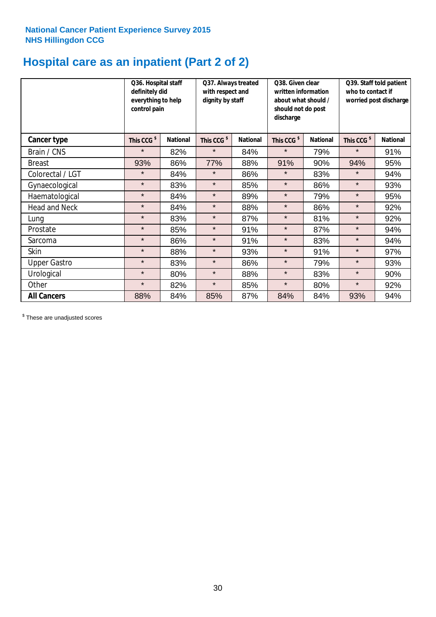## **Hospital care as an inpatient (Part 2 of 2)**

|                      | Q36. Hospital staff<br>definitely did<br>everything to help<br>control pain | Q37. Always treated<br>with respect and<br>dignity by staff |                        |                 | Q38. Given clear<br>written information<br>about what should /<br>should not do post<br>discharge |                 | Q39. Staff told patient<br>who to contact if<br>worried post discharge |                 |  |
|----------------------|-----------------------------------------------------------------------------|-------------------------------------------------------------|------------------------|-----------------|---------------------------------------------------------------------------------------------------|-----------------|------------------------------------------------------------------------|-----------------|--|
| Cancer type          | This CCG <sup>\$</sup>                                                      | <b>National</b>                                             | This CCG <sup>\$</sup> | <b>National</b> | This CCG <sup>\$</sup>                                                                            | <b>National</b> | This CCG <sup>\$</sup>                                                 | <b>National</b> |  |
| Brain / CNS          | $\star$                                                                     | 82%                                                         | $\star$                | 84%             | $\star$                                                                                           | 79%             | $\star$                                                                | 91%             |  |
| <b>Breast</b>        | 93%                                                                         | 86%                                                         | 77%                    | 88%             | 91%                                                                                               | 90%             | 94%                                                                    | 95%             |  |
| Colorectal / LGT     | $\star$                                                                     | 84%                                                         | $\star$                | 86%             | $\star$                                                                                           | 83%             | $\star$                                                                | 94%             |  |
| Gynaecological       | $\star$                                                                     | 83%                                                         | $\star$                | 85%             | $\star$                                                                                           | 86%             | $\star$                                                                | 93%             |  |
| Haematological       | $\star$                                                                     | 84%                                                         | $\star$                | 89%             | $\star$                                                                                           | 79%             | $\star$                                                                | 95%             |  |
| <b>Head and Neck</b> | $\star$                                                                     | 84%                                                         | $\star$                | 88%             | $\star$                                                                                           | 86%             | $\star$                                                                | 92%             |  |
| Lung                 | $\star$                                                                     | 83%                                                         | $\star$                | 87%             | $\star$                                                                                           | 81%             | $\star$                                                                | 92%             |  |
| Prostate             | $\star$                                                                     | 85%                                                         | $\star$                | 91%             | $\star$                                                                                           | 87%             | $\star$                                                                | 94%             |  |
| Sarcoma              | $\star$                                                                     | 86%                                                         | $\star$                | 91%             | $\star$                                                                                           | 83%             | $\star$                                                                | 94%             |  |
| Skin                 | $\star$                                                                     | 88%                                                         | $\star$                | 93%             | $\star$                                                                                           | 91%             | $\star$                                                                | 97%             |  |
| <b>Upper Gastro</b>  | $\star$                                                                     | 83%                                                         | $\star$                | 86%             | $\star$                                                                                           | 79%             | $\star$                                                                | 93%             |  |
| Urological           | $\star$                                                                     | 80%                                                         | $\star$                | 88%             | $\star$                                                                                           | 83%             | $\star$                                                                | 90%             |  |
| Other                | $\star$                                                                     | 82%                                                         | $\star$                | 85%             | $\star$                                                                                           | 80%             | $\star$                                                                | 92%             |  |
| <b>All Cancers</b>   | 88%                                                                         | 84%                                                         | 85%                    | 87%             | 84%                                                                                               | 84%             | 93%                                                                    | 94%             |  |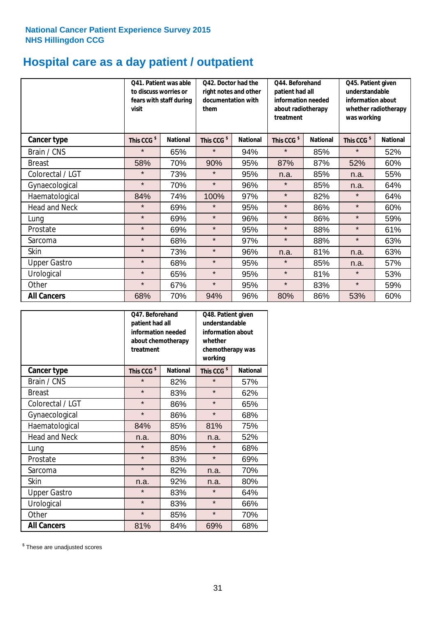## **Hospital care as a day patient / outpatient**

|                      | visit                  | Q41. Patient was able<br>to discuss worries or<br>fears with staff during |                        | Q42. Doctor had the<br>right notes and other<br>documentation with<br>them |                        | Q44. Beforehand<br>patient had all<br>information needed<br>about radiotherapy<br>treatment |                        | Q45. Patient given<br>understandable<br>information about<br>whether radiotherapy<br>was working |  |
|----------------------|------------------------|---------------------------------------------------------------------------|------------------------|----------------------------------------------------------------------------|------------------------|---------------------------------------------------------------------------------------------|------------------------|--------------------------------------------------------------------------------------------------|--|
| <b>Cancer type</b>   | This CCG <sup>\$</sup> | <b>National</b>                                                           | This CCG <sup>\$</sup> | <b>National</b>                                                            | This CCG <sup>\$</sup> | <b>National</b>                                                                             | This CCG <sup>\$</sup> | <b>National</b>                                                                                  |  |
| Brain / CNS          | $\star$                | 65%                                                                       | $\star$                | 94%                                                                        | $\star$                | 85%                                                                                         | $\star$                | 52%                                                                                              |  |
| <b>Breast</b>        | 58%                    | 70%                                                                       | 90%                    | 95%                                                                        | 87%                    | 87%                                                                                         | 52%                    | 60%                                                                                              |  |
| Colorectal / LGT     | $\star$                | 73%                                                                       | $\star$                | 95%                                                                        | n.a.                   | 85%                                                                                         | n.a.                   | 55%                                                                                              |  |
| Gynaecological       | $\star$                | 70%                                                                       | $\star$                | 96%                                                                        | $\star$                | 85%                                                                                         | n.a.                   | 64%                                                                                              |  |
| Haematological       | 84%                    | 74%                                                                       | 100%                   | 97%                                                                        | $\star$                | 82%                                                                                         | $\star$                | 64%                                                                                              |  |
| <b>Head and Neck</b> | $\star$                | 69%                                                                       | $\star$                | 95%                                                                        | $\star$                | 86%                                                                                         | $\star$                | 60%                                                                                              |  |
| Lung                 | $\star$                | 69%                                                                       | $\star$                | 96%                                                                        | $\star$                | 86%                                                                                         | $\star$                | 59%                                                                                              |  |
| Prostate             | $\star$                | 69%                                                                       | $\star$                | 95%                                                                        | $\star$                | 88%                                                                                         | $\star$                | 61%                                                                                              |  |
| Sarcoma              | $\star$                | 68%                                                                       | $\star$                | 97%                                                                        | $\star$                | 88%                                                                                         | $\star$                | 63%                                                                                              |  |
| Skin                 | $\star$                | 73%                                                                       | $\star$                | 96%                                                                        | n.a.                   | 81%                                                                                         | n.a.                   | 63%                                                                                              |  |
| <b>Upper Gastro</b>  | $\star$                | 68%                                                                       | $\star$                | 95%                                                                        | $\star$                | 85%                                                                                         | n.a.                   | 57%                                                                                              |  |
| Urological           | $\star$                | 65%                                                                       | $\star$                | 95%                                                                        | $\star$                | 81%                                                                                         | $\star$                | 53%                                                                                              |  |
| Other                | $\star$                | 67%                                                                       | $\star$                | 95%                                                                        | $\star$                | 83%                                                                                         | $\star$                | 59%                                                                                              |  |
| <b>All Cancers</b>   | 68%                    | 70%                                                                       | 94%                    | 96%                                                                        | 80%                    | 86%                                                                                         | 53%                    | 60%                                                                                              |  |

|                      | O47. Beforehand<br>patient had all<br>information needed<br>treatment | about chemotherapy | Q48. Patient given<br>understandable<br>information about<br>whether<br>chemotherapy was<br>working |                 |  |
|----------------------|-----------------------------------------------------------------------|--------------------|-----------------------------------------------------------------------------------------------------|-----------------|--|
| <b>Cancer type</b>   | This CCG <sup>\$</sup>                                                | <b>National</b>    | This CCG <sup>\$</sup>                                                                              | <b>National</b> |  |
| Brain / CNS          | $\star$                                                               | 82%                | $\star$                                                                                             | 57%             |  |
| <b>Breast</b>        | $\star$                                                               | 83%                | $\star$                                                                                             | 62%             |  |
| Colorectal / LGT     | $\star$                                                               | 86%                | $\star$                                                                                             | 65%             |  |
| Gynaecological       | $\star$                                                               | 86%                | $\star$                                                                                             | 68%             |  |
| Haematological       | 84%                                                                   | 85%                |                                                                                                     | 75%             |  |
| <b>Head and Neck</b> | n.a.                                                                  | 80%                | n.a.                                                                                                | 52%             |  |
| Lung                 | $\star$                                                               | 85%                | $\star$                                                                                             | 68%             |  |
| Prostate             | $\star$                                                               | 83%                | $\star$                                                                                             | 69%             |  |
| Sarcoma              | $\star$                                                               | 82%                | n.a.                                                                                                | 70%             |  |
| Skin                 | n.a.                                                                  | 92%                | n.a.                                                                                                | 80%             |  |
| <b>Upper Gastro</b>  | $\star$                                                               | 83%                | $\star$                                                                                             | 64%             |  |
| Urological           | $\star$                                                               | 83%                | $\star$                                                                                             | 66%             |  |
| Other                | $\star$                                                               | 85%                | $\star$                                                                                             | 70%             |  |
| <b>All Cancers</b>   | 81%                                                                   | 84%                | 69%                                                                                                 | 68%             |  |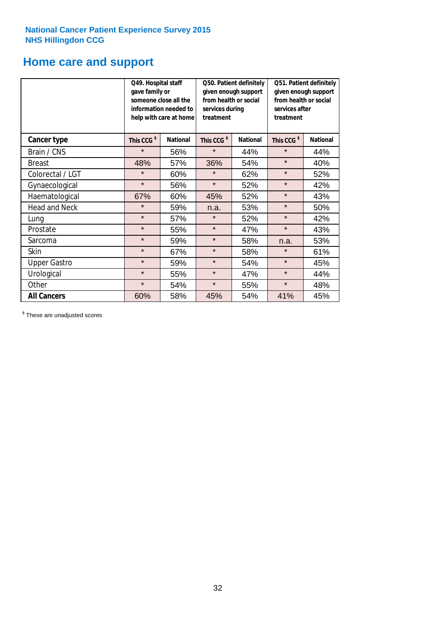## **Home care and support**

|                      | Q49. Hospital staff<br>gave family or<br>someone close all the<br>information needed to<br>help with care at home |                 | from health or social<br>services during<br>treatment | Q50. Patient definitely<br>given enough support | Q51. Patient definitely<br>given enough support<br>from health or social<br>services after<br>treatment |                 |  |
|----------------------|-------------------------------------------------------------------------------------------------------------------|-----------------|-------------------------------------------------------|-------------------------------------------------|---------------------------------------------------------------------------------------------------------|-----------------|--|
| <b>Cancer type</b>   | This CCG <sup>\$</sup>                                                                                            | <b>National</b> | This CCG <sup>\$</sup>                                | <b>National</b>                                 | This CCG <sup>\$</sup>                                                                                  | <b>National</b> |  |
| Brain / CNS          | $\star$                                                                                                           | 56%             | $\star$                                               | 44%                                             | $\star$                                                                                                 | 44%             |  |
| <b>Breast</b>        | 48%                                                                                                               | 57%             | 36%                                                   | 54%                                             | $\star$                                                                                                 | 40%             |  |
| Colorectal / LGT     | $\star$                                                                                                           | 60%             | $\star$                                               | 62%                                             | $\star$                                                                                                 | 52%             |  |
| Gynaecological       | $\star$                                                                                                           | 56%             | $\star$                                               | 52%                                             | $\star$                                                                                                 | 42%             |  |
| Haematological       | 67%                                                                                                               | 60%             | 45%                                                   | 52%                                             | $\star$                                                                                                 | 43%             |  |
| <b>Head and Neck</b> | $\star$                                                                                                           | 59%             | n.a.                                                  | 53%                                             | $\star$                                                                                                 | 50%             |  |
| Lung                 | $\star$                                                                                                           | 57%             | $\star$                                               | 52%                                             | $\star$                                                                                                 | 42%             |  |
| Prostate             | $\star$                                                                                                           | 55%             | $\star$                                               | 47%                                             | $\star$                                                                                                 | 43%             |  |
| Sarcoma              | $\star$                                                                                                           | 59%             | $\star$                                               | 58%                                             | n.a.                                                                                                    | 53%             |  |
| Skin                 | $\star$                                                                                                           | 67%             | $\star$                                               | 58%                                             | $\star$                                                                                                 | 61%             |  |
| <b>Upper Gastro</b>  | $\star$                                                                                                           | 59%             | $\star$                                               | 54%                                             | $\star$                                                                                                 | 45%             |  |
| Urological           | $\star$                                                                                                           | 55%             | $\star$                                               | 47%                                             | $\star$                                                                                                 | 44%             |  |
| Other                | $\star$                                                                                                           | 54%             | $\star$                                               | 55%                                             | $\star$                                                                                                 | 48%             |  |
| <b>All Cancers</b>   | 60%                                                                                                               | 58%             | 45%                                                   | 54%                                             | 41%                                                                                                     | 45%             |  |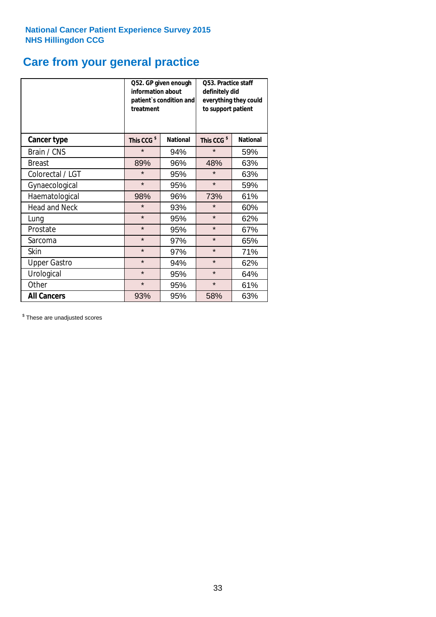## **Care from your general practice**

|                      | information about<br>treatment | Q52. GP given enough<br>patient's condition and | <b>O53. Practice staff</b><br>definitely did<br>everything they could<br>to support patient |                 |  |
|----------------------|--------------------------------|-------------------------------------------------|---------------------------------------------------------------------------------------------|-----------------|--|
| <b>Cancer type</b>   | This CCG <sup>\$</sup>         | <b>National</b>                                 | This CCG <sup>\$</sup>                                                                      | <b>National</b> |  |
| Brain / CNS          | $\star$                        | 94%                                             | $\star$                                                                                     | 59%             |  |
| <b>Breast</b>        | 89%                            | 96%                                             | 48%                                                                                         | 63%             |  |
| Colorectal / LGT     | $\star$                        | 95%                                             | $\star$                                                                                     | 63%             |  |
| Gynaecological       | $\star$                        | 95%                                             | $\star$                                                                                     | 59%             |  |
| Haematological       | 98%                            | 96%                                             | 73%                                                                                         | 61%             |  |
| <b>Head and Neck</b> | $\star$                        | 93%                                             | $\star$                                                                                     | 60%             |  |
| Lung                 | $\star$                        | 95%                                             | $\star$                                                                                     | 62%             |  |
| Prostate             | $\star$                        | 95%                                             | $\star$                                                                                     | 67%             |  |
| Sarcoma              | $\star$                        | 97%                                             | $\star$                                                                                     | 65%             |  |
| Skin                 | $\star$                        | 97%                                             | $\star$                                                                                     | 71%             |  |
| <b>Upper Gastro</b>  | $\star$                        | 94%                                             | $\star$                                                                                     | 62%             |  |
| Urological           | $\star$                        | 95%                                             | $\star$                                                                                     | 64%             |  |
| Other                | $\star$                        | 95%                                             | $\star$                                                                                     | 61%             |  |
| <b>All Cancers</b>   | 93%                            | 95%                                             | 58%                                                                                         | 63%             |  |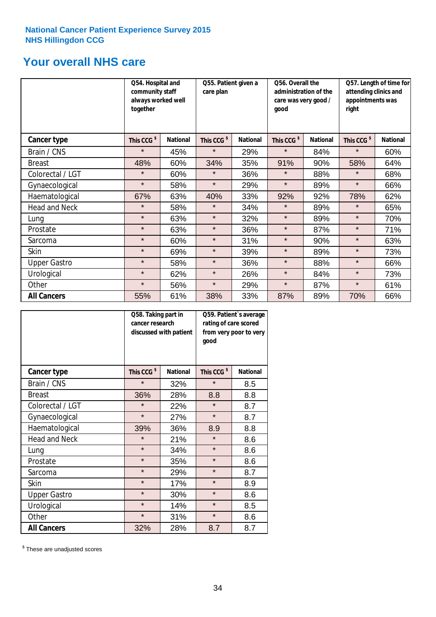## **Your overall NHS care**

|                      | Q54. Hospital and<br>community staff<br>always worked well<br>together |                 | Q55. Patient given a<br>care plan |                 | Q56. Overall the<br>administration of the<br>care was very good /<br>qood |                 | Q57. Length of time for<br>attending clinics and<br>appointments was<br>right |                 |
|----------------------|------------------------------------------------------------------------|-----------------|-----------------------------------|-----------------|---------------------------------------------------------------------------|-----------------|-------------------------------------------------------------------------------|-----------------|
| <b>Cancer type</b>   | This CCG <sup>\$</sup>                                                 | <b>National</b> | This CCG <sup>\$</sup>            | <b>National</b> | This CCG <sup>\$</sup>                                                    | <b>National</b> | This CCG <sup>\$</sup>                                                        | <b>National</b> |
| Brain / CNS          | $\star$                                                                | 45%             | $\star$                           | 29%             | $\star$                                                                   | 84%             | $\star$                                                                       | 60%             |
| <b>Breast</b>        | 48%                                                                    | 60%             | 34%                               | 35%             | 91%                                                                       | 90%             | 58%                                                                           | 64%             |
| Colorectal / LGT     | $\star$                                                                | 60%             | $\star$                           | 36%             | $\star$                                                                   | 88%             | $\star$                                                                       | 68%             |
| Gynaecological       | $\star$                                                                | 58%             | $\star$                           | 29%             | $\star$                                                                   | 89%             | $\star$                                                                       | 66%             |
| Haematological       | 67%                                                                    | 63%             | 40%                               | 33%             | 92%                                                                       | 92%             | 78%                                                                           | 62%             |
| <b>Head and Neck</b> | $\star$                                                                | 58%             | $\star$                           | 34%             | $\star$                                                                   | 89%             | $\star$                                                                       | 65%             |
| Lung                 | $\star$                                                                | 63%             | $\star$                           | 32%             | $\star$                                                                   | 89%             | $\star$                                                                       | 70%             |
| Prostate             | $\star$                                                                | 63%             | $\star$                           | 36%             | $\star$                                                                   | 87%             | $\star$                                                                       | 71%             |
| Sarcoma              | $\star$                                                                | 60%             | $\star$                           | 31%             | $\star$                                                                   | 90%             | $\star$                                                                       | 63%             |
| Skin                 | $\star$                                                                | 69%             | $\star$                           | 39%             | $\star$                                                                   | 89%             | $\star$                                                                       | 73%             |
| <b>Upper Gastro</b>  | $\star$                                                                | 58%             | $\star$                           | 36%             | $\star$                                                                   | 88%             | $\star$                                                                       | 66%             |
| Urological           | $\star$                                                                | 62%             | $\star$                           | 26%             | $\star$                                                                   | 84%             | $\star$                                                                       | 73%             |
| Other                | $\star$                                                                | 56%             | $\star$                           | 29%             | $\star$                                                                   | 87%             | $\star$                                                                       | 61%             |
| <b>All Cancers</b>   | 55%                                                                    | 61%             | 38%                               | 33%             | 87%                                                                       | 89%             | 70%                                                                           | 66%             |

|                      | Q58. Taking part in<br>cancer research | discussed with patient | Q59. Patient's average<br>rating of care scored<br>from very poor to very<br>good |                 |  |
|----------------------|----------------------------------------|------------------------|-----------------------------------------------------------------------------------|-----------------|--|
| <b>Cancer type</b>   | This CCG <sup>\$</sup>                 | <b>National</b>        | This CCG <sup>\$</sup>                                                            | <b>National</b> |  |
| Brain / CNS          | $\star$                                | 32%                    | $\star$                                                                           | 8.5             |  |
| <b>Breast</b>        | 36%                                    | 28%                    | 8.8                                                                               | 8.8             |  |
| Colorectal / LGT     | $\star$                                | 22%                    | $\star$                                                                           | 8.7             |  |
| Gynaecological       | $\star$                                | 27%                    | $\star$                                                                           | 8.7             |  |
| Haematological       | 39%                                    | 36%                    | 8.9                                                                               | 8.8             |  |
| <b>Head and Neck</b> | $\star$                                | 21%                    | $\star$                                                                           | 8.6             |  |
| Lung                 | $\star$                                | 34%                    | $\star$                                                                           | 8.6             |  |
| Prostate             | $\star$                                | 35%                    | $\star$                                                                           | 8.6             |  |
| Sarcoma              | $\star$                                | 29%                    | $\star$                                                                           | 8.7             |  |
| <b>Skin</b>          | $\star$                                | 17%                    | $\star$                                                                           | 8.9             |  |
| <b>Upper Gastro</b>  | $\star$                                | 30%                    | $\star$                                                                           | 8.6             |  |
| Urological           | $\star$                                | 14%                    | $\star$                                                                           | 8.5             |  |
| Other                | $\star$                                | 31%                    | $\star$                                                                           | 8.6             |  |
| <b>All Cancers</b>   | 32%                                    | 28%                    | 8.7                                                                               | 8.7             |  |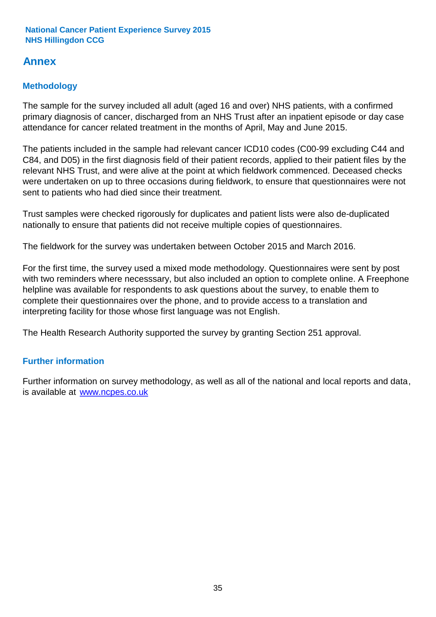## **Annex**

## **Methodology**

The sample for the survey included all adult (aged 16 and over) NHS patients, with a confirmed primary diagnosis of cancer, discharged from an NHS Trust after an inpatient episode or day case attendance for cancer related treatment in the months of April, May and June 2015.

The patients included in the sample had relevant cancer ICD10 codes (C00-99 excluding C44 and C84, and D05) in the first diagnosis field of their patient records, applied to their patient files by the relevant NHS Trust, and were alive at the point at which fieldwork commenced. Deceased checks were undertaken on up to three occasions during fieldwork, to ensure that questionnaires were not sent to patients who had died since their treatment.

Trust samples were checked rigorously for duplicates and patient lists were also de-duplicated nationally to ensure that patients did not receive multiple copies of questionnaires.

The fieldwork for the survey was undertaken between October 2015 and March 2016.

For the first time, the survey used a mixed mode methodology. Questionnaires were sent by post with two reminders where necesssary, but also included an option to complete online. A Freephone helpline was available for respondents to ask questions about the survey, to enable them to complete their questionnaires over the phone, and to provide access to a translation and interpreting facility for those whose first language was not English.

The Health Research Authority supported the survey by granting Section 251 approval.

## **Further information**

Further information on survey methodology, as well as all of the national and local reports and data, is available at www.ncpes.co.uk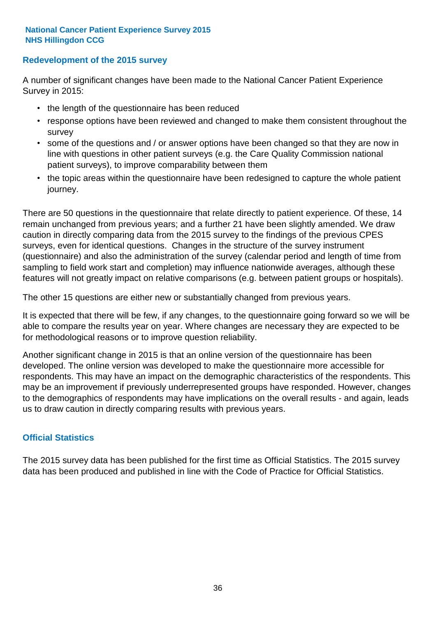### **Redevelopment of the 2015 survey**

A number of significant changes have been made to the National Cancer Patient Experience Survey in 2015:

- the length of the questionnaire has been reduced
- response options have been reviewed and changed to make them consistent throughout the survey
- some of the questions and / or answer options have been changed so that they are now in line with questions in other patient surveys (e.g. the Care Quality Commission national patient surveys), to improve comparability between them
- the topic areas within the questionnaire have been redesigned to capture the whole patient journey.

There are 50 questions in the questionnaire that relate directly to patient experience. Of these, 14 remain unchanged from previous years; and a further 21 have been slightly amended. We draw caution in directly comparing data from the 2015 survey to the findings of the previous CPES surveys, even for identical questions. Changes in the structure of the survey instrument (questionnaire) and also the administration of the survey (calendar period and length of time from sampling to field work start and completion) may influence nationwide averages, although these features will not greatly impact on relative comparisons (e.g. between patient groups or hospitals).

The other 15 questions are either new or substantially changed from previous years.

It is expected that there will be few, if any changes, to the questionnaire going forward so we will be able to compare the results year on year. Where changes are necessary they are expected to be for methodological reasons or to improve question reliability.

Another significant change in 2015 is that an online version of the questionnaire has been developed. The online version was developed to make the questionnaire more accessible for respondents. This may have an impact on the demographic characteristics of the respondents. This may be an improvement if previously underrepresented groups have responded. However, changes to the demographics of respondents may have implications on the overall results - and again, leads us to draw caution in directly comparing results with previous years.

### **Official Statistics**

The 2015 survey data has been published for the first time as Official Statistics. The 2015 survey data has been produced and published in line with the Code of Practice for Official Statistics.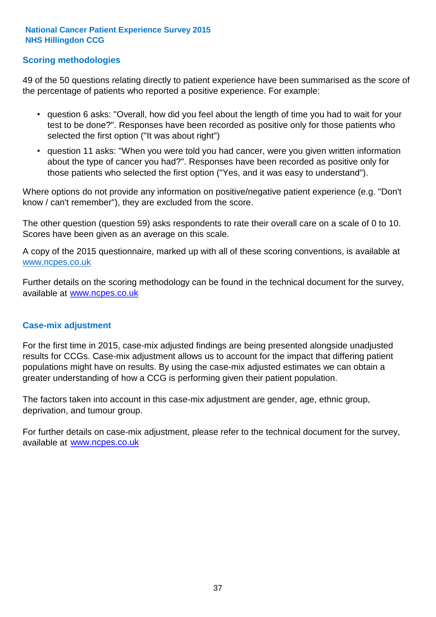### **Scoring methodologies**

49 of the 50 questions relating directly to patient experience have been summarised as the score of the percentage of patients who reported a positive experience. For example:

- question 6 asks: "Overall, how did you feel about the length of time you had to wait for your test to be done?". Responses have been recorded as positive only for those patients who selected the first option ("It was about right")
- question 11 asks: "When you were told you had cancer, were you given written information about the type of cancer you had?". Responses have been recorded as positive only for those patients who selected the first option ("Yes, and it was easy to understand").

Where options do not provide any information on positive/negative patient experience (e.g. "Don't know / can't remember"), they are excluded from the score.

The other question (question 59) asks respondents to rate their overall care on a scale of 0 to 10. Scores have been given as an average on this scale.

A copy of the 2015 questionnaire, marked up with all of these scoring conventions, is available at www.ncpes.co.uk

Further details on the scoring methodology can be found in the technical document for the survey, available at <u>www.ncpes.co.uk</u>

#### **Case-mix adjustment**

For the first time in 2015, case-mix adjusted findings are being presented alongside unadjusted results for CCGs. Case-mix adjustment allows us to account for the impact that differing patient populations might have on results. By using the case-mix adjusted estimates we can obtain a greater understanding of how a CCG is performing given their patient population.

The factors taken into account in this case-mix adjustment are gender, age, ethnic group, deprivation, and tumour group.

For further details on case-mix adjustment, please refer to the technical document for the survey, available at www.ncpes.co.uk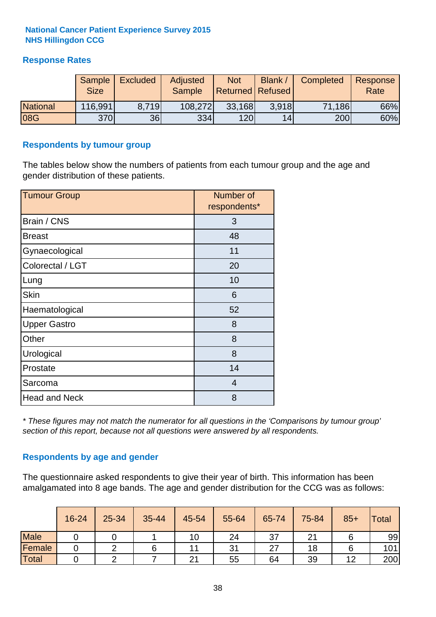## **Response Rates**

|                 | Sample<br><b>Size</b> | <b>Excluded</b> | Adjusted<br><b>Sample</b> | <b>Not</b><br>Returned   Refused | <b>Blank</b> | Completed | Response<br>Rate |
|-----------------|-----------------------|-----------------|---------------------------|----------------------------------|--------------|-----------|------------------|
| <b>National</b> | 116,991               | 8.719           | 108,272                   | 33,168                           | 3.918        | 71,186    | 66%              |
| 08G             | <b>370</b>            | 36              | 334                       | 120                              | 14           | 200       | 60%              |

#### **Respondents by tumour group**

The tables below show the numbers of patients from each tumour group and the age and gender distribution of these patients.

| <b>Tumour Group</b>  | Number of<br>respondents* |
|----------------------|---------------------------|
| Brain / CNS          | 3                         |
| <b>Breast</b>        | 48                        |
| Gynaecological       | 11                        |
| Colorectal / LGT     | 20                        |
| Lung                 | 10                        |
| <b>Skin</b>          | 6                         |
| Haematological       | 52                        |
| <b>Upper Gastro</b>  | 8                         |
| Other                | 8                         |
| Urological           | 8                         |
| Prostate             | 14                        |
| Sarcoma              | $\overline{4}$            |
| <b>Head and Neck</b> | 8                         |

*\* These figures may not match the numerator for all questions in the 'Comparisons by tumour group' section of this report, because not all questions were answered by all respondents.*

### **Respondents by age and gender**

The questionnaire asked respondents to give their year of birth. This information has been amalgamated into 8 age bands. The age and gender distribution for the CCG was as follows:

|             | 16-24 | 25-34 | 35-44 | 45-54 | 55-64 | 65-74 | 75-84 | $85+$ | Total |
|-------------|-------|-------|-------|-------|-------|-------|-------|-------|-------|
| <b>Male</b> |       |       |       | 10    | 24    | 37    |       |       | 99    |
| Female      |       |       |       |       | 31    | 27    | 18    |       | 101   |
| Total       |       |       |       | 21    | 55    | 64    | 39    | 12    | 200   |